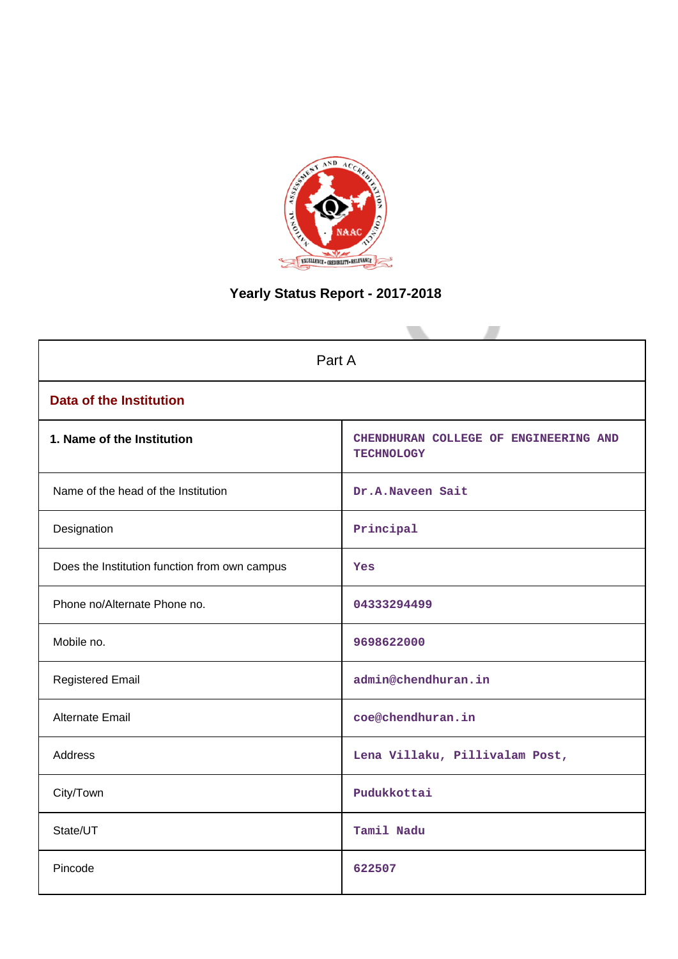

# **Yearly Status Report - 2017-2018**

| Part A                                        |                                                            |  |  |  |  |
|-----------------------------------------------|------------------------------------------------------------|--|--|--|--|
| <b>Data of the Institution</b>                |                                                            |  |  |  |  |
| 1. Name of the Institution                    | CHENDHURAN COLLEGE OF ENGINEERING AND<br><b>TECHNOLOGY</b> |  |  |  |  |
| Name of the head of the Institution           | Dr.A.Naveen Sait                                           |  |  |  |  |
| Designation                                   | Principal                                                  |  |  |  |  |
| Does the Institution function from own campus | Yes                                                        |  |  |  |  |
| Phone no/Alternate Phone no.                  | 04333294499                                                |  |  |  |  |
| Mobile no.                                    | 9698622000                                                 |  |  |  |  |
| <b>Registered Email</b>                       | admin@chendhuran.in                                        |  |  |  |  |
| Alternate Email                               | coe@chendhuran.in                                          |  |  |  |  |
| <b>Address</b>                                | Lena Villaku, Pillivalam Post,                             |  |  |  |  |
| City/Town                                     | Pudukkottai                                                |  |  |  |  |
| State/UT                                      | Tamil Nadu                                                 |  |  |  |  |
| Pincode                                       | 622507                                                     |  |  |  |  |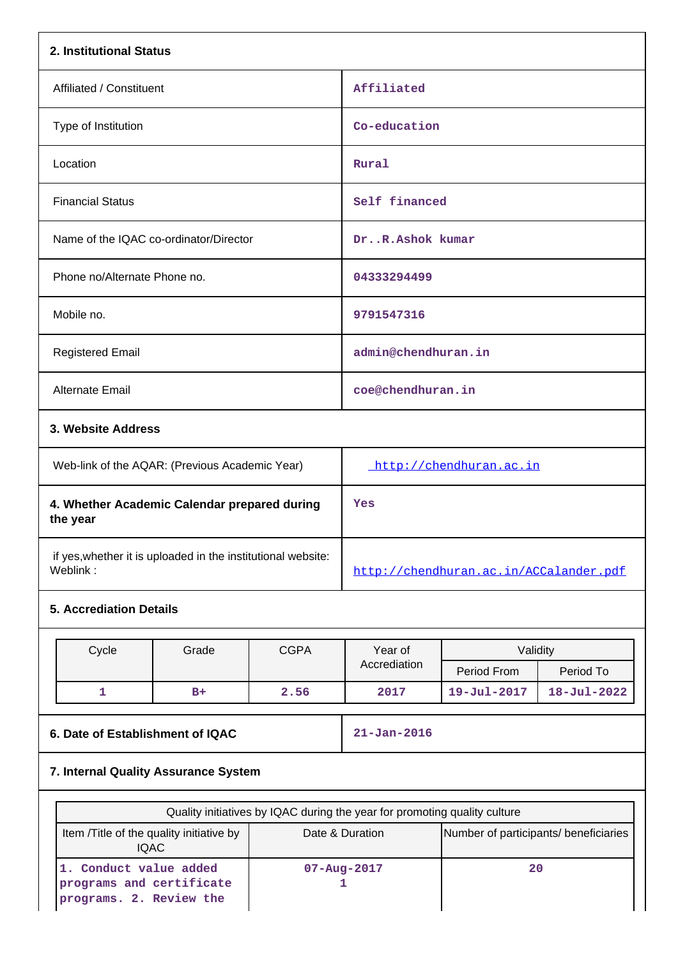| 2. Institutional Status                                                                                          |                                                |             |                                                          |                         |                   |  |
|------------------------------------------------------------------------------------------------------------------|------------------------------------------------|-------------|----------------------------------------------------------|-------------------------|-------------------|--|
| Affiliated / Constituent                                                                                         |                                                |             | Affiliated                                               |                         |                   |  |
| Type of Institution                                                                                              |                                                |             | Co-education                                             |                         |                   |  |
| Location                                                                                                         |                                                |             | Rural                                                    |                         |                   |  |
| <b>Financial Status</b>                                                                                          |                                                |             | Self financed                                            |                         |                   |  |
| Name of the IQAC co-ordinator/Director                                                                           |                                                |             | DrR.Ashok kumar                                          |                         |                   |  |
| Phone no/Alternate Phone no.                                                                                     |                                                |             | 04333294499                                              |                         |                   |  |
| Mobile no.                                                                                                       |                                                |             | 9791547316                                               |                         |                   |  |
| <b>Registered Email</b>                                                                                          |                                                |             | admin@chendhuran.in                                      |                         |                   |  |
| <b>Alternate Email</b>                                                                                           |                                                |             | coe@chendhuran.in                                        |                         |                   |  |
|                                                                                                                  | 3. Website Address                             |             |                                                          |                         |                   |  |
|                                                                                                                  | Web-link of the AQAR: (Previous Academic Year) |             |                                                          | http://chendhuran.ac.in |                   |  |
| 4. Whether Academic Calendar prepared during<br>the year                                                         |                                                |             | Yes                                                      |                         |                   |  |
| if yes, whether it is uploaded in the institutional website:<br>Weblink:                                         |                                                |             | http://chendhuran.ac.in/ACCalander.pdf                   |                         |                   |  |
| <b>5. Accrediation Details</b>                                                                                   |                                                |             |                                                          |                         |                   |  |
| Cycle                                                                                                            | Grade                                          | <b>CGPA</b> | Year of                                                  | Validity                |                   |  |
|                                                                                                                  |                                                |             | Accrediation                                             | Period From             | Period To         |  |
| 1                                                                                                                | $B+$                                           | 2.56        | 2017                                                     | 19-Jul-2017             | $18 - Jul - 2022$ |  |
| 6. Date of Establishment of IQAC                                                                                 |                                                |             | $21 - Jan - 2016$                                        |                         |                   |  |
| 7. Internal Quality Assurance System                                                                             |                                                |             |                                                          |                         |                   |  |
| Quality initiatives by IQAC during the year for promoting quality culture                                        |                                                |             |                                                          |                         |                   |  |
| Item /Title of the quality initiative by                                                                         |                                                |             | Date & Duration<br>Number of participants/ beneficiaries |                         |                   |  |
| <b>IQAC</b><br>1. Conduct value added<br>07-Aug-2017<br>programs and certificate<br>1<br>programs. 2. Review the |                                                |             | 20                                                       |                         |                   |  |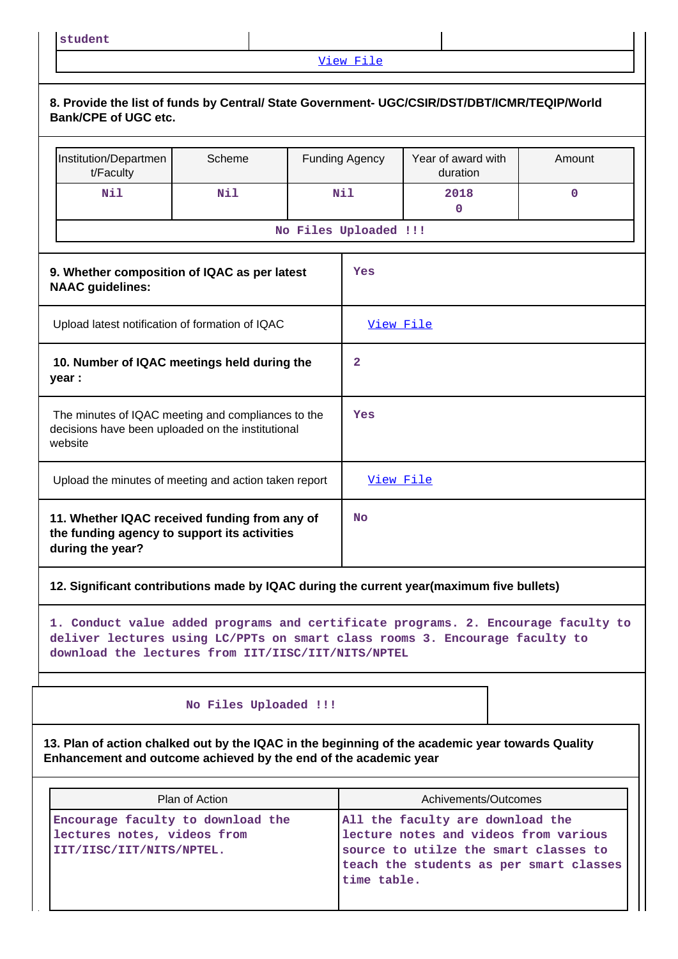**student**

# [View File](https://assessmentonline.naac.gov.in/public/Postacc/Quality_Initiatives/17403_Quality_Initiatives.pdf)

| 8. Provide the list of funds by Central/ State Government- UGC/CSIR/DST/DBT/ICMR/TEQIP/World<br><b>Bank/CPE of UGC etc.</b>                                                                                            |                       |                       |                         |                                                                                                                                                               |             |
|------------------------------------------------------------------------------------------------------------------------------------------------------------------------------------------------------------------------|-----------------------|-----------------------|-------------------------|---------------------------------------------------------------------------------------------------------------------------------------------------------------|-------------|
| Institution/Departmen<br>t/Faculty                                                                                                                                                                                     | Scheme                |                       | <b>Funding Agency</b>   | Year of award with<br>duration                                                                                                                                | Amount      |
| Nil                                                                                                                                                                                                                    | Nil                   |                       | Nil                     | 2018<br>$\mathbf 0$                                                                                                                                           | $\mathbf 0$ |
|                                                                                                                                                                                                                        |                       | No Files Uploaded !!! |                         |                                                                                                                                                               |             |
| 9. Whether composition of IQAC as per latest<br><b>NAAC</b> guidelines:                                                                                                                                                |                       |                       | Yes                     |                                                                                                                                                               |             |
| Upload latest notification of formation of IQAC                                                                                                                                                                        |                       |                       |                         | View File                                                                                                                                                     |             |
| 10. Number of IQAC meetings held during the<br>year :                                                                                                                                                                  |                       |                       | $\overline{\mathbf{2}}$ |                                                                                                                                                               |             |
| The minutes of IQAC meeting and compliances to the<br>decisions have been uploaded on the institutional<br>website                                                                                                     |                       |                       | Yes                     |                                                                                                                                                               |             |
| Upload the minutes of meeting and action taken report                                                                                                                                                                  |                       |                       |                         | View File                                                                                                                                                     |             |
| 11. Whether IQAC received funding from any of<br>the funding agency to support its activities<br>during the year?                                                                                                      |                       |                       | No                      |                                                                                                                                                               |             |
| 12. Significant contributions made by IQAC during the current year(maximum five bullets)                                                                                                                               |                       |                       |                         |                                                                                                                                                               |             |
| 1. Conduct value added programs and certificate programs. 2. Encourage faculty to<br>deliver lectures using LC/PPTs on smart class rooms 3. Encourage faculty to<br>download the lectures from IIT/IISC/IIT/NITS/NPTEL |                       |                       |                         |                                                                                                                                                               |             |
|                                                                                                                                                                                                                        | No Files Uploaded !!! |                       |                         |                                                                                                                                                               |             |
| 13. Plan of action chalked out by the IQAC in the beginning of the academic year towards Quality<br>Enhancement and outcome achieved by the end of the academic year                                                   |                       |                       |                         |                                                                                                                                                               |             |
|                                                                                                                                                                                                                        | Plan of Action        |                       |                         | Achivements/Outcomes                                                                                                                                          |             |
| Encourage faculty to download the<br>lectures notes, videos from<br>IIT/IISC/IIT/NITS/NPTEL.<br>time table.                                                                                                            |                       |                       |                         | All the faculty are download the<br>lecture notes and videos from various<br>source to utilze the smart classes to<br>teach the students as per smart classes |             |

 $\mathsf{I}$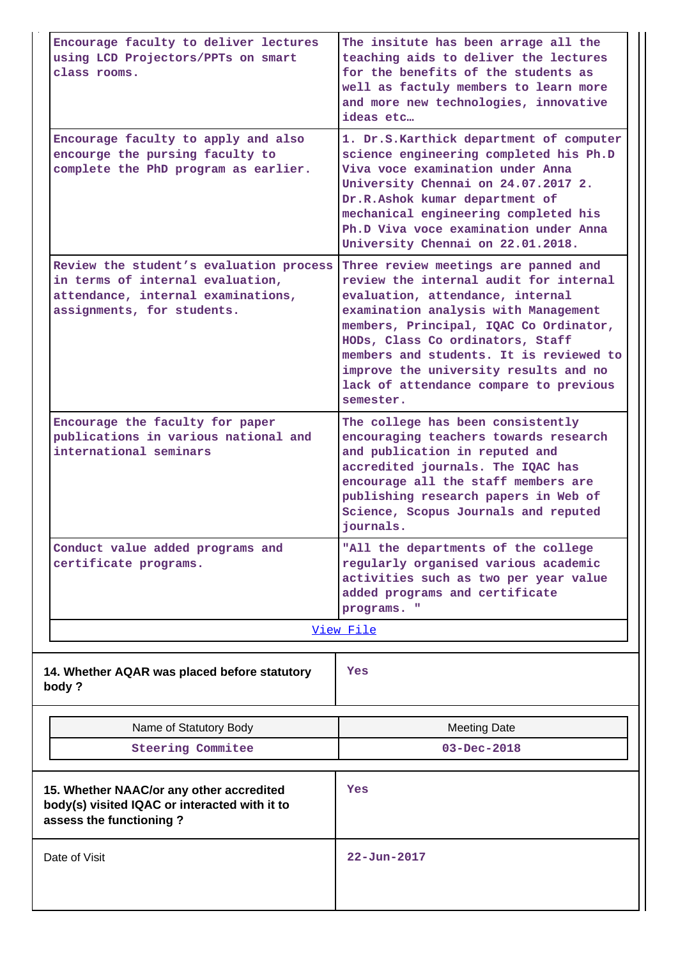| Encourage faculty to deliver lectures<br>using LCD Projectors/PPTs on smart<br>class rooms.                                                     | The insitute has been arrage all the<br>teaching aids to deliver the lectures<br>for the benefits of the students as<br>well as factuly members to learn more<br>and more new technologies, innovative<br>ideas etc                                                                                                                                                                 |  |  |  |
|-------------------------------------------------------------------------------------------------------------------------------------------------|-------------------------------------------------------------------------------------------------------------------------------------------------------------------------------------------------------------------------------------------------------------------------------------------------------------------------------------------------------------------------------------|--|--|--|
| Encourage faculty to apply and also<br>encourge the pursing faculty to<br>complete the PhD program as earlier.                                  | 1. Dr.S.Karthick department of computer<br>science engineering completed his Ph.D<br>Viva voce examination under Anna<br>University Chennai on 24.07.2017 2.<br>Dr.R.Ashok kumar department of<br>mechanical engineering completed his<br>Ph.D Viva voce examination under Anna<br>University Chennai on 22.01.2018.                                                                |  |  |  |
| Review the student's evaluation process<br>in terms of internal evaluation,<br>attendance, internal examinations,<br>assignments, for students. | Three review meetings are panned and<br>review the internal audit for internal<br>evaluation, attendance, internal<br>examination analysis with Management<br>members, Principal, IQAC Co Ordinator,<br>HODs, Class Co ordinators, Staff<br>members and students. It is reviewed to<br>improve the university results and no<br>lack of attendance compare to previous<br>semester. |  |  |  |
| Encourage the faculty for paper<br>publications in various national and<br>international seminars                                               | The college has been consistently<br>encouraging teachers towards research<br>and publication in reputed and<br>accredited journals. The IQAC has<br>encourage all the staff members are<br>publishing research papers in Web of<br>Science, Scopus Journals and reputed<br>journals.                                                                                               |  |  |  |
| Conduct value added programs and<br>certificate programs.                                                                                       | "All the departments of the college<br>regularly organised various academic<br>activities such as two per year value<br>added programs and certificate<br>programs. "<br>View File                                                                                                                                                                                                  |  |  |  |
| 14. Whether AQAR was placed before statutory<br>body?                                                                                           | Yes                                                                                                                                                                                                                                                                                                                                                                                 |  |  |  |
| Name of Statutory Body                                                                                                                          | <b>Meeting Date</b>                                                                                                                                                                                                                                                                                                                                                                 |  |  |  |
| <b>Steering Commitee</b>                                                                                                                        | $03 - Dec - 2018$                                                                                                                                                                                                                                                                                                                                                                   |  |  |  |
| 15. Whether NAAC/or any other accredited<br>body(s) visited IQAC or interacted with it to<br>assess the functioning?                            | Yes                                                                                                                                                                                                                                                                                                                                                                                 |  |  |  |
| Date of Visit                                                                                                                                   | $22 - Jun - 2017$                                                                                                                                                                                                                                                                                                                                                                   |  |  |  |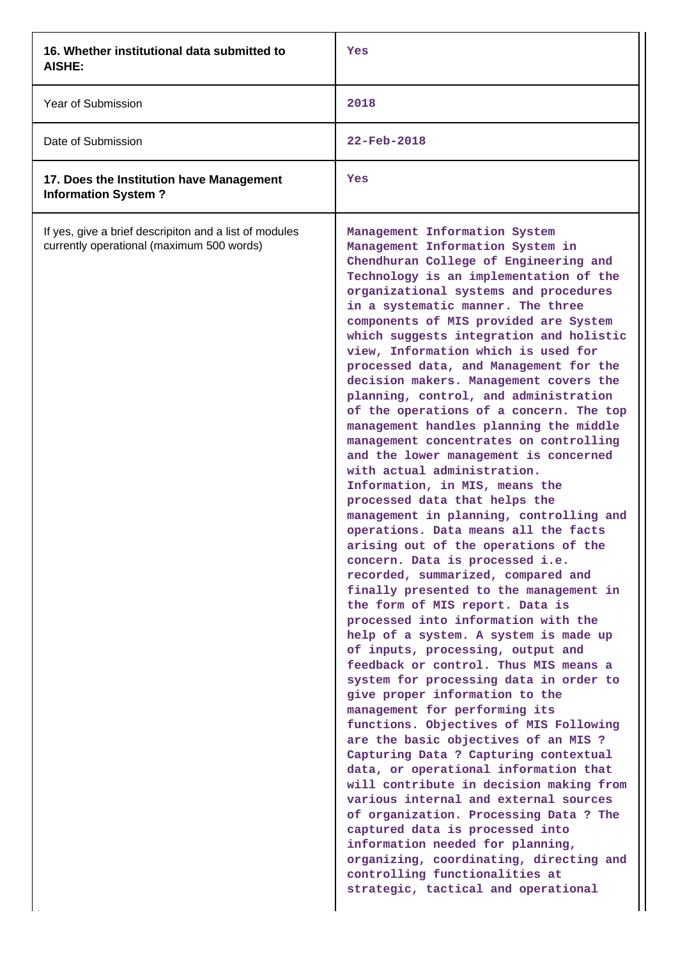| 16. Whether institutional data submitted to<br>AISHE:                                               | Yes                                                                                                                                                                                                                                                                                                                                                                                                                                                                                                                                                                                                                                                                                                                                                                                                                                                                                                                                                                                                                                                                                                                                                                                                                                                                                                                                                                                                                                                                                                                                                                                                                                                                                                                                                                                                                           |
|-----------------------------------------------------------------------------------------------------|-------------------------------------------------------------------------------------------------------------------------------------------------------------------------------------------------------------------------------------------------------------------------------------------------------------------------------------------------------------------------------------------------------------------------------------------------------------------------------------------------------------------------------------------------------------------------------------------------------------------------------------------------------------------------------------------------------------------------------------------------------------------------------------------------------------------------------------------------------------------------------------------------------------------------------------------------------------------------------------------------------------------------------------------------------------------------------------------------------------------------------------------------------------------------------------------------------------------------------------------------------------------------------------------------------------------------------------------------------------------------------------------------------------------------------------------------------------------------------------------------------------------------------------------------------------------------------------------------------------------------------------------------------------------------------------------------------------------------------------------------------------------------------------------------------------------------------|
| Year of Submission                                                                                  | 2018                                                                                                                                                                                                                                                                                                                                                                                                                                                                                                                                                                                                                                                                                                                                                                                                                                                                                                                                                                                                                                                                                                                                                                                                                                                                                                                                                                                                                                                                                                                                                                                                                                                                                                                                                                                                                          |
| Date of Submission                                                                                  | $22 - Feb - 2018$                                                                                                                                                                                                                                                                                                                                                                                                                                                                                                                                                                                                                                                                                                                                                                                                                                                                                                                                                                                                                                                                                                                                                                                                                                                                                                                                                                                                                                                                                                                                                                                                                                                                                                                                                                                                             |
| 17. Does the Institution have Management<br><b>Information System?</b>                              | Yes                                                                                                                                                                                                                                                                                                                                                                                                                                                                                                                                                                                                                                                                                                                                                                                                                                                                                                                                                                                                                                                                                                                                                                                                                                                                                                                                                                                                                                                                                                                                                                                                                                                                                                                                                                                                                           |
| If yes, give a brief descripiton and a list of modules<br>currently operational (maximum 500 words) | Management Information System<br>Management Information System in<br>Chendhuran College of Engineering and<br>Technology is an implementation of the<br>organizational systems and procedures<br>in a systematic manner. The three<br>components of MIS provided are System<br>which suggests integration and holistic<br>view, Information which is used for<br>processed data, and Management for the<br>decision makers. Management covers the<br>planning, control, and administration<br>of the operations of a concern. The top<br>management handles planning the middle<br>management concentrates on controlling<br>and the lower management is concerned<br>with actual administration.<br>Information, in MIS, means the<br>processed data that helps the<br>management in planning, controlling and<br>operations. Data means all the facts<br>arising out of the operations of the<br>concern. Data is processed i.e.<br>recorded, summarized, compared and<br>finally presented to the management in<br>the form of MIS report. Data is<br>processed into information with the<br>help of a system. A system is made up<br>of inputs, processing, output and<br>feedback or control. Thus MIS means a<br>system for processing data in order to<br>give proper information to the<br>management for performing its<br>functions. Objectives of MIS Following<br>are the basic objectives of an MIS ?<br>Capturing Data ? Capturing contextual<br>data, or operational information that<br>will contribute in decision making from<br>various internal and external sources<br>of organization. Processing Data ? The<br>captured data is processed into<br>information needed for planning,<br>organizing, coordinating, directing and<br>controlling functionalities at<br>strategic, tactical and operational |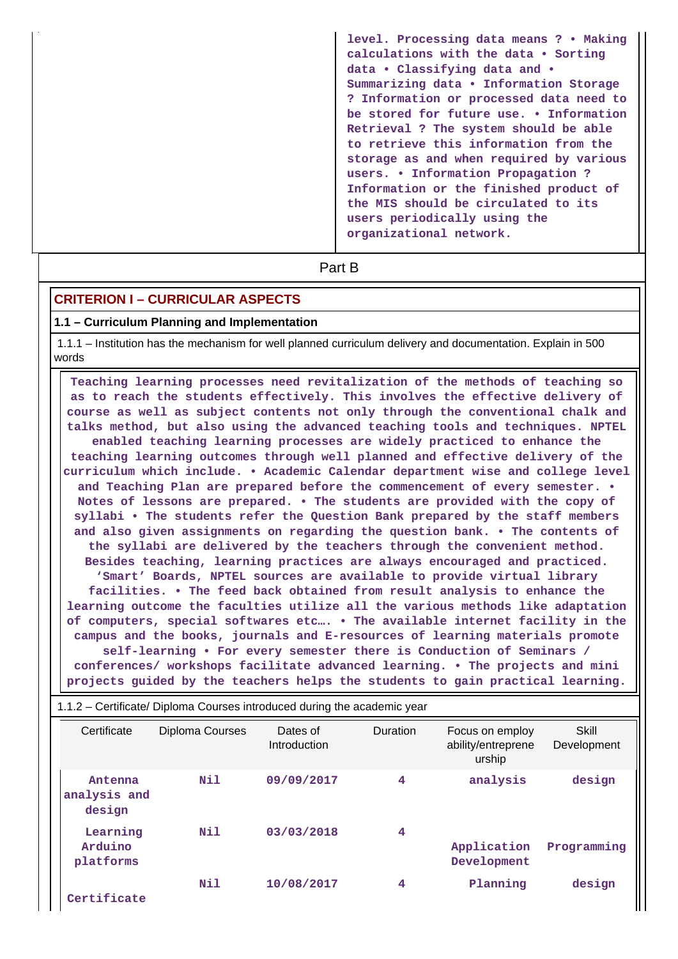| level. Processing data means ? . Making<br>calculations with the data . Sorting<br>data . Classifying data and .<br>Summarizing data . Information Storage<br>? Information or processed data need to<br>be stored for future use. • Information<br>Retrieval ? The system should be able<br>to retrieve this information from the<br>storage as and when required by various<br>users. • Information Propagation ?<br>Information or the finished product of<br>the MIS should be circulated to its<br>users periodically using the<br>organizational network. |
|-----------------------------------------------------------------------------------------------------------------------------------------------------------------------------------------------------------------------------------------------------------------------------------------------------------------------------------------------------------------------------------------------------------------------------------------------------------------------------------------------------------------------------------------------------------------|
|                                                                                                                                                                                                                                                                                                                                                                                                                                                                                                                                                                 |

**Part B** 

# **CRITERION I – CURRICULAR ASPECTS**

# **1.1 – Curriculum Planning and Implementation**

 1.1.1 – Institution has the mechanism for well planned curriculum delivery and documentation. Explain in 500 words

| Teaching learning processes need revitalization of the methods of teaching so   |
|---------------------------------------------------------------------------------|
| as to reach the students effectively. This involves the effective delivery of   |
| course as well as subject contents not only through the conventional chalk and  |
| talks method, but also using the advanced teaching tools and techniques. NPTEL  |
| enabled teaching learning processes are widely practiced to enhance the         |
| teaching learning outcomes through well planned and effective delivery of the   |
| curriculum which include. • Academic Calendar department wise and college level |
| and Teaching Plan are prepared before the commencement of every semester. •     |
| Notes of lessons are prepared. . The students are provided with the copy of     |
| syllabi • The students refer the Question Bank prepared by the staff members    |
| and also given assignments on regarding the question bank. • The contents of    |
| the syllabi are delivered by the teachers through the convenient method.        |
| Besides teaching, learning practices are always encouraged and practiced.       |
| 'Smart' Boards, NPTEL sources are available to provide virtual library          |
| facilities. • The feed back obtained from result analysis to enhance the        |
| learning outcome the faculties utilize all the various methods like adaptation  |
| of computers, special softwares etc . The available internet facility in the    |
| campus and the books, journals and E-resources of learning materials promote    |
| self-learning • For every semester there is Conduction of Seminars /            |
| conferences/ workshops facilitate advanced learning. • The projects and mini    |
| projects guided by the teachers helps the students to gain practical learning.  |

| 1.1.2 – Certificate/ Diploma Courses introduced during the academic year |                        |                          |          |                                                 |                      |  |
|--------------------------------------------------------------------------|------------------------|--------------------------|----------|-------------------------------------------------|----------------------|--|
| Certificate                                                              | <b>Diploma Courses</b> | Dates of<br>Introduction | Duration | Focus on employ<br>ability/entreprene<br>urship | Skill<br>Development |  |
| Antenna<br>analysis and<br>design                                        | Nil                    | 09/09/2017               | 4        | analysis                                        | design               |  |
| Learning<br>Arduino<br>platforms                                         | Nil                    | 03/03/2018               | 4        | Application<br>Development                      | Programming          |  |
| Certificate                                                              | Nil                    | 10/08/2017               | 4        | Planning                                        | design               |  |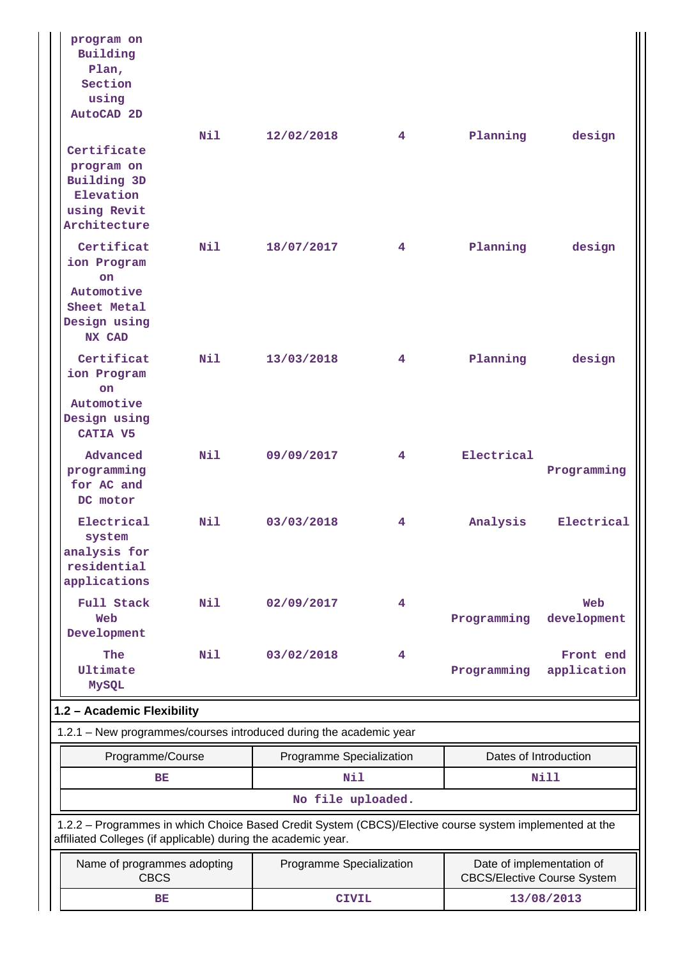|                                              | program on<br>Building<br>Plan,<br>Section<br>using<br>AutoCAD 2D                             |              |                                                                                                                                                                          |                |                                    |                           |
|----------------------------------------------|-----------------------------------------------------------------------------------------------|--------------|--------------------------------------------------------------------------------------------------------------------------------------------------------------------------|----------------|------------------------------------|---------------------------|
|                                              | Certificate<br>program on<br>Building 3D<br>Elevation<br>using Revit<br>Architecture          | N11          | 12/02/2018                                                                                                                                                               | 4 <sup>1</sup> | Planning                           | design                    |
|                                              | Certificat<br>ion Program<br><b>on</b><br>Automotive<br>Sheet Metal<br>Design using<br>NX CAD | N11          | 18/07/2017                                                                                                                                                               | $4^{\circ}$    | Planning                           | design                    |
|                                              | Certificat<br>ion Program<br>on.<br>Automotive<br>Design using<br>CATIA V5                    | Nil          | 13/03/2018                                                                                                                                                               | $4^{\circ}$    | Planning                           | design                    |
|                                              | Advanced<br>programming<br>for AC and<br>DC motor                                             | N11          | 09/09/2017                                                                                                                                                               | $4^{\circ}$    | Electrical                         | Programming               |
|                                              | Electrical<br>system<br>analysis for<br>residential<br>applications                           | Nil          | 03/03/2018                                                                                                                                                               | 4.             | Analysis                           | Electrical                |
|                                              | Full Stack<br>Web<br>Development                                                              | Nil          | 02/09/2017                                                                                                                                                               | 4              | Programming                        | Web<br>development        |
|                                              | The<br><b>Ultimate</b><br>MySQL                                                               | Nil          | 03/02/2018                                                                                                                                                               | 4              | Programming                        | Front end<br>application  |
|                                              | 1.2 - Academic Flexibility                                                                    |              |                                                                                                                                                                          |                |                                    |                           |
|                                              |                                                                                               |              | 1.2.1 - New programmes/courses introduced during the academic year                                                                                                       |                |                                    |                           |
| Programme/Course<br>Programme Specialization |                                                                                               |              | Dates of Introduction                                                                                                                                                    |                |                                    |                           |
|                                              | BE                                                                                            |              | <b>Nil</b><br>No file uploaded.                                                                                                                                          |                |                                    | Nill                      |
|                                              |                                                                                               |              | 1.2.2 - Programmes in which Choice Based Credit System (CBCS)/Elective course system implemented at the<br>affiliated Colleges (if applicable) during the academic year. |                |                                    |                           |
|                                              | Name of programmes adopting<br><b>CBCS</b>                                                    |              | Programme Specialization                                                                                                                                                 |                | <b>CBCS/Elective Course System</b> | Date of implementation of |
| BE                                           |                                                                                               | <b>CIVIL</b> |                                                                                                                                                                          | 13/08/2013     |                                    |                           |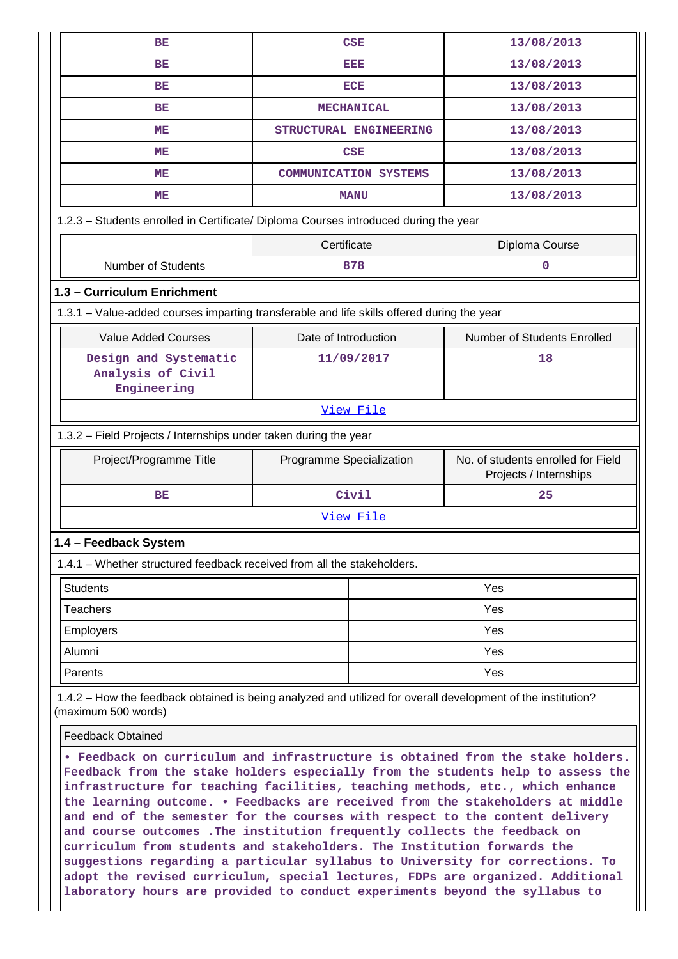| BE                                                                                                                                                                                                                                                                                                                                                                                                                                                                                                                                                                                                                                                                                                                                                                                                                              | <b>CSE</b>                   |     | 13/08/2013                                                   |  |  |  |
|---------------------------------------------------------------------------------------------------------------------------------------------------------------------------------------------------------------------------------------------------------------------------------------------------------------------------------------------------------------------------------------------------------------------------------------------------------------------------------------------------------------------------------------------------------------------------------------------------------------------------------------------------------------------------------------------------------------------------------------------------------------------------------------------------------------------------------|------------------------------|-----|--------------------------------------------------------------|--|--|--|
| BE                                                                                                                                                                                                                                                                                                                                                                                                                                                                                                                                                                                                                                                                                                                                                                                                                              | EEE                          |     | 13/08/2013                                                   |  |  |  |
| BE                                                                                                                                                                                                                                                                                                                                                                                                                                                                                                                                                                                                                                                                                                                                                                                                                              | <b>ECE</b>                   |     | 13/08/2013                                                   |  |  |  |
| BE                                                                                                                                                                                                                                                                                                                                                                                                                                                                                                                                                                                                                                                                                                                                                                                                                              | <b>MECHANICAL</b>            |     | 13/08/2013                                                   |  |  |  |
| MЕ                                                                                                                                                                                                                                                                                                                                                                                                                                                                                                                                                                                                                                                                                                                                                                                                                              | STRUCTURAL ENGINEERING       |     | 13/08/2013                                                   |  |  |  |
| ME                                                                                                                                                                                                                                                                                                                                                                                                                                                                                                                                                                                                                                                                                                                                                                                                                              | <b>CSE</b>                   |     | 13/08/2013                                                   |  |  |  |
| ME                                                                                                                                                                                                                                                                                                                                                                                                                                                                                                                                                                                                                                                                                                                                                                                                                              | <b>COMMUNICATION SYSTEMS</b> |     | 13/08/2013                                                   |  |  |  |
| ME                                                                                                                                                                                                                                                                                                                                                                                                                                                                                                                                                                                                                                                                                                                                                                                                                              | <b>MANU</b>                  |     | 13/08/2013                                                   |  |  |  |
| 1.2.3 - Students enrolled in Certificate/ Diploma Courses introduced during the year                                                                                                                                                                                                                                                                                                                                                                                                                                                                                                                                                                                                                                                                                                                                            |                              |     |                                                              |  |  |  |
|                                                                                                                                                                                                                                                                                                                                                                                                                                                                                                                                                                                                                                                                                                                                                                                                                                 | Certificate                  |     | Diploma Course                                               |  |  |  |
| <b>Number of Students</b>                                                                                                                                                                                                                                                                                                                                                                                                                                                                                                                                                                                                                                                                                                                                                                                                       | 878                          |     | 0                                                            |  |  |  |
| 1.3 - Curriculum Enrichment                                                                                                                                                                                                                                                                                                                                                                                                                                                                                                                                                                                                                                                                                                                                                                                                     |                              |     |                                                              |  |  |  |
| 1.3.1 - Value-added courses imparting transferable and life skills offered during the year                                                                                                                                                                                                                                                                                                                                                                                                                                                                                                                                                                                                                                                                                                                                      |                              |     |                                                              |  |  |  |
| <b>Value Added Courses</b>                                                                                                                                                                                                                                                                                                                                                                                                                                                                                                                                                                                                                                                                                                                                                                                                      | Date of Introduction         |     | Number of Students Enrolled                                  |  |  |  |
| Design and Systematic<br>Analysis of Civil<br>Engineering                                                                                                                                                                                                                                                                                                                                                                                                                                                                                                                                                                                                                                                                                                                                                                       | 11/09/2017                   |     | 18                                                           |  |  |  |
| View File                                                                                                                                                                                                                                                                                                                                                                                                                                                                                                                                                                                                                                                                                                                                                                                                                       |                              |     |                                                              |  |  |  |
| 1.3.2 - Field Projects / Internships under taken during the year                                                                                                                                                                                                                                                                                                                                                                                                                                                                                                                                                                                                                                                                                                                                                                |                              |     |                                                              |  |  |  |
| Project/Programme Title                                                                                                                                                                                                                                                                                                                                                                                                                                                                                                                                                                                                                                                                                                                                                                                                         | Programme Specialization     |     | No. of students enrolled for Field<br>Projects / Internships |  |  |  |
| ВE                                                                                                                                                                                                                                                                                                                                                                                                                                                                                                                                                                                                                                                                                                                                                                                                                              | Civil                        |     | 25                                                           |  |  |  |
|                                                                                                                                                                                                                                                                                                                                                                                                                                                                                                                                                                                                                                                                                                                                                                                                                                 | View File                    |     |                                                              |  |  |  |
| 1.4 - Feedback System                                                                                                                                                                                                                                                                                                                                                                                                                                                                                                                                                                                                                                                                                                                                                                                                           |                              |     |                                                              |  |  |  |
| 1.4.1 – Whether structured feedback received from all the stakeholders.                                                                                                                                                                                                                                                                                                                                                                                                                                                                                                                                                                                                                                                                                                                                                         |                              |     |                                                              |  |  |  |
| <b>Students</b>                                                                                                                                                                                                                                                                                                                                                                                                                                                                                                                                                                                                                                                                                                                                                                                                                 |                              |     | Yes                                                          |  |  |  |
| <b>Teachers</b>                                                                                                                                                                                                                                                                                                                                                                                                                                                                                                                                                                                                                                                                                                                                                                                                                 |                              |     | Yes                                                          |  |  |  |
| <b>Employers</b>                                                                                                                                                                                                                                                                                                                                                                                                                                                                                                                                                                                                                                                                                                                                                                                                                |                              | Yes |                                                              |  |  |  |
| Alumni                                                                                                                                                                                                                                                                                                                                                                                                                                                                                                                                                                                                                                                                                                                                                                                                                          |                              |     | Yes                                                          |  |  |  |
| Parents                                                                                                                                                                                                                                                                                                                                                                                                                                                                                                                                                                                                                                                                                                                                                                                                                         |                              | Yes |                                                              |  |  |  |
| 1.4.2 – How the feedback obtained is being analyzed and utilized for overall development of the institution?<br>(maximum 500 words)                                                                                                                                                                                                                                                                                                                                                                                                                                                                                                                                                                                                                                                                                             |                              |     |                                                              |  |  |  |
| <b>Feedback Obtained</b>                                                                                                                                                                                                                                                                                                                                                                                                                                                                                                                                                                                                                                                                                                                                                                                                        |                              |     |                                                              |  |  |  |
| . Feedback on curriculum and infrastructure is obtained from the stake holders.<br>Feedback from the stake holders especially from the students help to assess the<br>infrastructure for teaching facilities, teaching methods, etc., which enhance<br>the learning outcome. . Feedbacks are received from the stakeholders at middle<br>and end of the semester for the courses with respect to the content delivery<br>and course outcomes . The institution frequently collects the feedback on<br>curriculum from students and stakeholders. The Institution forwards the<br>suggestions regarding a particular syllabus to University for corrections. To<br>adopt the revised curriculum, special lectures, FDPs are organized. Additional<br>laboratory hours are provided to conduct experiments beyond the syllabus to |                              |     |                                                              |  |  |  |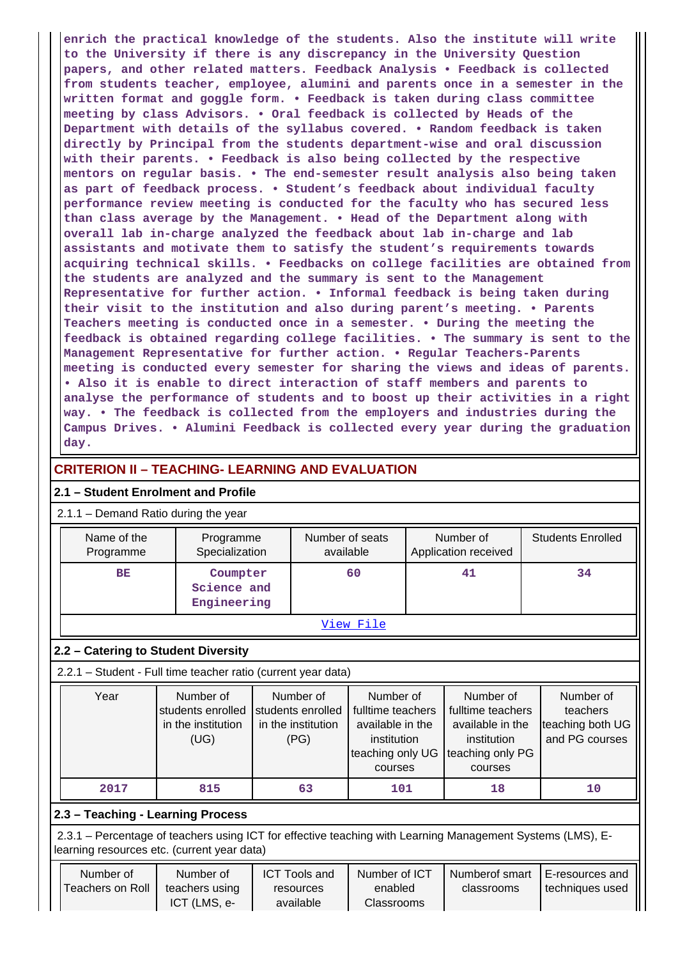**enrich the practical knowledge of the students. Also the institute will write to the University if there is any discrepancy in the University Question papers, and other related matters. Feedback Analysis • Feedback is collected from students teacher, employee, alumini and parents once in a semester in the written format and goggle form. • Feedback is taken during class committee meeting by class Advisors. • Oral feedback is collected by Heads of the Department with details of the syllabus covered. • Random feedback is taken directly by Principal from the students department-wise and oral discussion with their parents. • Feedback is also being collected by the respective mentors on regular basis. • The end-semester result analysis also being taken as part of feedback process. • Student's feedback about individual faculty performance review meeting is conducted for the faculty who has secured less than class average by the Management. • Head of the Department along with overall lab in-charge analyzed the feedback about lab in-charge and lab assistants and motivate them to satisfy the student's requirements towards acquiring technical skills. • Feedbacks on college facilities are obtained from the students are analyzed and the summary is sent to the Management Representative for further action. • Informal feedback is being taken during their visit to the institution and also during parent's meeting. • Parents Teachers meeting is conducted once in a semester. • During the meeting the feedback is obtained regarding college facilities. • The summary is sent to the Management Representative for further action. • Regular Teachers-Parents meeting is conducted every semester for sharing the views and ideas of parents. • Also it is enable to direct interaction of staff members and parents to analyse the performance of students and to boost up their activities in a right way. • The feedback is collected from the employers and industries during the Campus Drives. • Alumini Feedback is collected every year during the graduation day.**

# **CRITERION II – TEACHING- LEARNING AND EVALUATION**

## **2.1 – Student Enrolment and Profile**

# 2.1.1 – Demand Ratio during the year

| Name of the<br>Programme | Programme<br>Specialization            | Number of seats<br>available | Number of<br>Application received | <b>Students Enrolled</b> |  |  |  |
|--------------------------|----------------------------------------|------------------------------|-----------------------------------|--------------------------|--|--|--|
| <b>BE</b>                | Coumpter<br>Science and<br>Engineering | 60                           | 41                                | 34                       |  |  |  |
| View File                |                                        |                              |                                   |                          |  |  |  |

## **2.2 – Catering to Student Diversity**

2.2.1 – Student - Full time teacher ratio (current year data)

| Year | Number of          | Number of          | Number of         | Number of         | Number of        |
|------|--------------------|--------------------|-------------------|-------------------|------------------|
|      | students enrolled  | students enrolled  | fulltime teachers | fulltime teachers | teachers         |
|      | in the institution | in the institution | available in the  | available in the  | teaching both UG |
|      | (UG)               | (PG)               | institution       | institution       | and PG courses   |
|      |                    |                    | teaching only UG  | teaching only PG  |                  |
|      |                    |                    | courses           | courses           |                  |
| 2017 | 815                | 63                 | 101               | 18                | 10               |

## **2.3 – Teaching - Learning Process**

 2.3.1 – Percentage of teachers using ICT for effective teaching with Learning Management Systems (LMS), Elearning resources etc. (current year data)

| Number of        | Number of      |           | Number of ICT | Numberof smart | i E-resources and |  |
|------------------|----------------|-----------|---------------|----------------|-------------------|--|
| Teachers on Roll | teachers using | resources | enabled       | classrooms     | techniques used   |  |
|                  | ICT (LMS, e-   | available | Classrooms    |                |                   |  |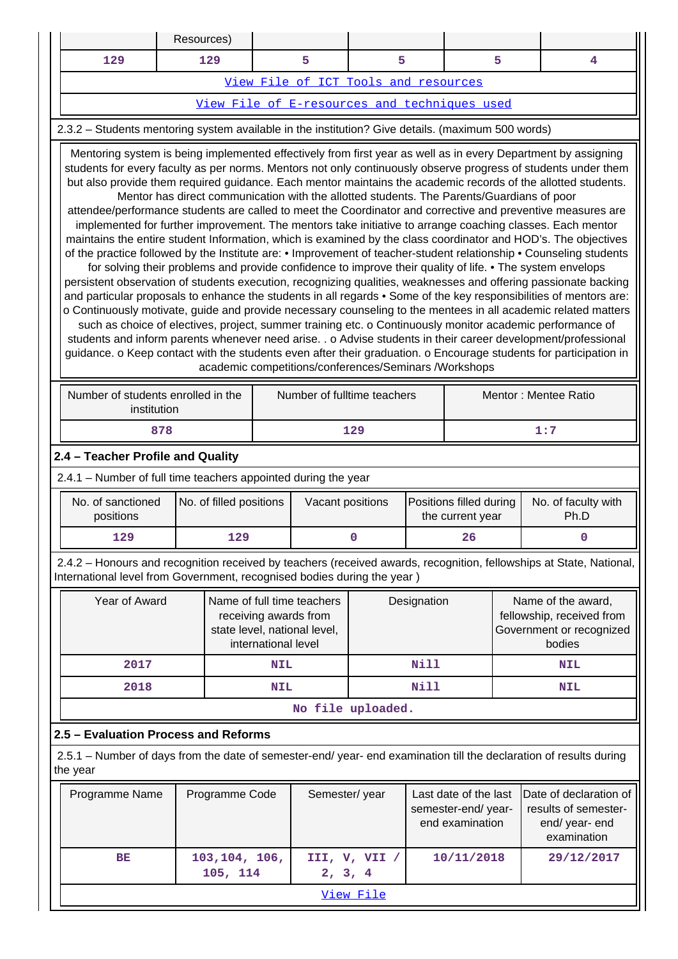|                                                                                                                                                                                                                                                                                                                                                                                                                                                                                                                                                                                                                                                                                                                                                                                                                                                                                                                                                                                                                                                                                                                                                                                                                                                                                                                                                                                                                                                                                                                                                                                                                                                                                                                                                                                                       | Resources)                                                     |                           |                                                                                                            |                                              |                                        |             |                                                                |            |                                                                                                                     |  |
|-------------------------------------------------------------------------------------------------------------------------------------------------------------------------------------------------------------------------------------------------------------------------------------------------------------------------------------------------------------------------------------------------------------------------------------------------------------------------------------------------------------------------------------------------------------------------------------------------------------------------------------------------------------------------------------------------------------------------------------------------------------------------------------------------------------------------------------------------------------------------------------------------------------------------------------------------------------------------------------------------------------------------------------------------------------------------------------------------------------------------------------------------------------------------------------------------------------------------------------------------------------------------------------------------------------------------------------------------------------------------------------------------------------------------------------------------------------------------------------------------------------------------------------------------------------------------------------------------------------------------------------------------------------------------------------------------------------------------------------------------------------------------------------------------------|----------------------------------------------------------------|---------------------------|------------------------------------------------------------------------------------------------------------|----------------------------------------------|----------------------------------------|-------------|----------------------------------------------------------------|------------|---------------------------------------------------------------------------------------------------------------------|--|
| 129                                                                                                                                                                                                                                                                                                                                                                                                                                                                                                                                                                                                                                                                                                                                                                                                                                                                                                                                                                                                                                                                                                                                                                                                                                                                                                                                                                                                                                                                                                                                                                                                                                                                                                                                                                                                   |                                                                | 129                       |                                                                                                            | 5                                            | 5                                      |             |                                                                | 5          | 4                                                                                                                   |  |
|                                                                                                                                                                                                                                                                                                                                                                                                                                                                                                                                                                                                                                                                                                                                                                                                                                                                                                                                                                                                                                                                                                                                                                                                                                                                                                                                                                                                                                                                                                                                                                                                                                                                                                                                                                                                       |                                                                |                           |                                                                                                            | View File of ICT Tools and resources         |                                        |             |                                                                |            |                                                                                                                     |  |
|                                                                                                                                                                                                                                                                                                                                                                                                                                                                                                                                                                                                                                                                                                                                                                                                                                                                                                                                                                                                                                                                                                                                                                                                                                                                                                                                                                                                                                                                                                                                                                                                                                                                                                                                                                                                       |                                                                |                           |                                                                                                            | View File of E-resources and techniques used |                                        |             |                                                                |            |                                                                                                                     |  |
| 2.3.2 - Students mentoring system available in the institution? Give details. (maximum 500 words)                                                                                                                                                                                                                                                                                                                                                                                                                                                                                                                                                                                                                                                                                                                                                                                                                                                                                                                                                                                                                                                                                                                                                                                                                                                                                                                                                                                                                                                                                                                                                                                                                                                                                                     |                                                                |                           |                                                                                                            |                                              |                                        |             |                                                                |            |                                                                                                                     |  |
| Mentoring system is being implemented effectively from first year as well as in every Department by assigning<br>students for every faculty as per norms. Mentors not only continuously observe progress of students under them<br>but also provide them required guidance. Each mentor maintains the academic records of the allotted students.<br>Mentor has direct communication with the allotted students. The Parents/Guardians of poor<br>attendee/performance students are called to meet the Coordinator and corrective and preventive measures are<br>implemented for further improvement. The mentors take initiative to arrange coaching classes. Each mentor<br>maintains the entire student Information, which is examined by the class coordinator and HOD's. The objectives<br>of the practice followed by the Institute are: • Improvement of teacher-student relationship • Counseling students<br>for solving their problems and provide confidence to improve their quality of life. • The system envelops<br>persistent observation of students execution, recognizing qualities, weaknesses and offering passionate backing<br>and particular proposals to enhance the students in all regards • Some of the key responsibilities of mentors are:<br>o Continuously motivate, guide and provide necessary counseling to the mentees in all academic related matters<br>such as choice of electives, project, summer training etc. o Continuously monitor academic performance of<br>students and inform parents whenever need arise. . o Advise students in their career development/professional<br>guidance. o Keep contact with the students even after their graduation. o Encourage students for participation in<br>academic competitions/conferences/Seminars /Workshops |                                                                |                           |                                                                                                            |                                              |                                        |             |                                                                |            |                                                                                                                     |  |
| Number of students enrolled in the<br>Number of fulltime teachers<br>Mentor: Mentee Ratio                                                                                                                                                                                                                                                                                                                                                                                                                                                                                                                                                                                                                                                                                                                                                                                                                                                                                                                                                                                                                                                                                                                                                                                                                                                                                                                                                                                                                                                                                                                                                                                                                                                                                                             |                                                                |                           |                                                                                                            |                                              |                                        |             |                                                                |            |                                                                                                                     |  |
| institution<br>878<br>129                                                                                                                                                                                                                                                                                                                                                                                                                                                                                                                                                                                                                                                                                                                                                                                                                                                                                                                                                                                                                                                                                                                                                                                                                                                                                                                                                                                                                                                                                                                                                                                                                                                                                                                                                                             |                                                                |                           |                                                                                                            |                                              |                                        |             |                                                                |            | 1:7                                                                                                                 |  |
| 2.4 - Teacher Profile and Quality                                                                                                                                                                                                                                                                                                                                                                                                                                                                                                                                                                                                                                                                                                                                                                                                                                                                                                                                                                                                                                                                                                                                                                                                                                                                                                                                                                                                                                                                                                                                                                                                                                                                                                                                                                     |                                                                |                           |                                                                                                            |                                              |                                        |             |                                                                |            |                                                                                                                     |  |
|                                                                                                                                                                                                                                                                                                                                                                                                                                                                                                                                                                                                                                                                                                                                                                                                                                                                                                                                                                                                                                                                                                                                                                                                                                                                                                                                                                                                                                                                                                                                                                                                                                                                                                                                                                                                       | 2.4.1 - Number of full time teachers appointed during the year |                           |                                                                                                            |                                              |                                        |             |                                                                |            |                                                                                                                     |  |
| No. of sanctioned<br>positions                                                                                                                                                                                                                                                                                                                                                                                                                                                                                                                                                                                                                                                                                                                                                                                                                                                                                                                                                                                                                                                                                                                                                                                                                                                                                                                                                                                                                                                                                                                                                                                                                                                                                                                                                                        |                                                                | No. of filled positions   |                                                                                                            |                                              | Vacant positions                       |             | Positions filled during<br>the current year                    |            | No. of faculty with<br>Ph.D                                                                                         |  |
| 129                                                                                                                                                                                                                                                                                                                                                                                                                                                                                                                                                                                                                                                                                                                                                                                                                                                                                                                                                                                                                                                                                                                                                                                                                                                                                                                                                                                                                                                                                                                                                                                                                                                                                                                                                                                                   |                                                                | 129                       |                                                                                                            | 0                                            |                                        |             | 26                                                             |            | $\bf{0}$                                                                                                            |  |
| International level from Government, recognised bodies during the year)                                                                                                                                                                                                                                                                                                                                                                                                                                                                                                                                                                                                                                                                                                                                                                                                                                                                                                                                                                                                                                                                                                                                                                                                                                                                                                                                                                                                                                                                                                                                                                                                                                                                                                                               |                                                                |                           |                                                                                                            |                                              |                                        |             |                                                                |            | 2.4.2 - Honours and recognition received by teachers (received awards, recognition, fellowships at State, National, |  |
| Year of Award                                                                                                                                                                                                                                                                                                                                                                                                                                                                                                                                                                                                                                                                                                                                                                                                                                                                                                                                                                                                                                                                                                                                                                                                                                                                                                                                                                                                                                                                                                                                                                                                                                                                                                                                                                                         |                                                                |                           | Name of full time teachers<br>receiving awards from<br>state level, national level,<br>international level |                                              |                                        | Designation |                                                                |            | Name of the award,<br>fellowship, received from<br>Government or recognized<br>bodies                               |  |
| 2017                                                                                                                                                                                                                                                                                                                                                                                                                                                                                                                                                                                                                                                                                                                                                                                                                                                                                                                                                                                                                                                                                                                                                                                                                                                                                                                                                                                                                                                                                                                                                                                                                                                                                                                                                                                                  |                                                                |                           | <b>NIL</b>                                                                                                 |                                              |                                        | <b>Nill</b> |                                                                |            | <b>NIL</b>                                                                                                          |  |
| 2018                                                                                                                                                                                                                                                                                                                                                                                                                                                                                                                                                                                                                                                                                                                                                                                                                                                                                                                                                                                                                                                                                                                                                                                                                                                                                                                                                                                                                                                                                                                                                                                                                                                                                                                                                                                                  |                                                                |                           | <b>NIL</b>                                                                                                 |                                              |                                        | Nill        |                                                                |            | <b>NIL</b>                                                                                                          |  |
|                                                                                                                                                                                                                                                                                                                                                                                                                                                                                                                                                                                                                                                                                                                                                                                                                                                                                                                                                                                                                                                                                                                                                                                                                                                                                                                                                                                                                                                                                                                                                                                                                                                                                                                                                                                                       |                                                                |                           |                                                                                                            |                                              | No file uploaded.                      |             |                                                                |            |                                                                                                                     |  |
| 2.5 - Evaluation Process and Reforms                                                                                                                                                                                                                                                                                                                                                                                                                                                                                                                                                                                                                                                                                                                                                                                                                                                                                                                                                                                                                                                                                                                                                                                                                                                                                                                                                                                                                                                                                                                                                                                                                                                                                                                                                                  |                                                                |                           |                                                                                                            |                                              |                                        |             |                                                                |            |                                                                                                                     |  |
| the year                                                                                                                                                                                                                                                                                                                                                                                                                                                                                                                                                                                                                                                                                                                                                                                                                                                                                                                                                                                                                                                                                                                                                                                                                                                                                                                                                                                                                                                                                                                                                                                                                                                                                                                                                                                              |                                                                |                           |                                                                                                            |                                              |                                        |             |                                                                |            | 2.5.1 – Number of days from the date of semester-end/ year- end examination till the declaration of results during  |  |
| Programme Name                                                                                                                                                                                                                                                                                                                                                                                                                                                                                                                                                                                                                                                                                                                                                                                                                                                                                                                                                                                                                                                                                                                                                                                                                                                                                                                                                                                                                                                                                                                                                                                                                                                                                                                                                                                        |                                                                | Programme Code            |                                                                                                            | Semester/year                                |                                        |             | Last date of the last<br>semester-end/year-<br>end examination |            | Date of declaration of<br>results of semester-<br>end/ year- end<br>examination                                     |  |
| ВE                                                                                                                                                                                                                                                                                                                                                                                                                                                                                                                                                                                                                                                                                                                                                                                                                                                                                                                                                                                                                                                                                                                                                                                                                                                                                                                                                                                                                                                                                                                                                                                                                                                                                                                                                                                                    |                                                                | 103,104, 106,<br>105, 114 |                                                                                                            |                                              | III, V, VII /<br>10/11/2018<br>2, 3, 4 |             |                                                                | 29/12/2017 |                                                                                                                     |  |
|                                                                                                                                                                                                                                                                                                                                                                                                                                                                                                                                                                                                                                                                                                                                                                                                                                                                                                                                                                                                                                                                                                                                                                                                                                                                                                                                                                                                                                                                                                                                                                                                                                                                                                                                                                                                       |                                                                |                           |                                                                                                            |                                              | View File                              |             |                                                                |            |                                                                                                                     |  |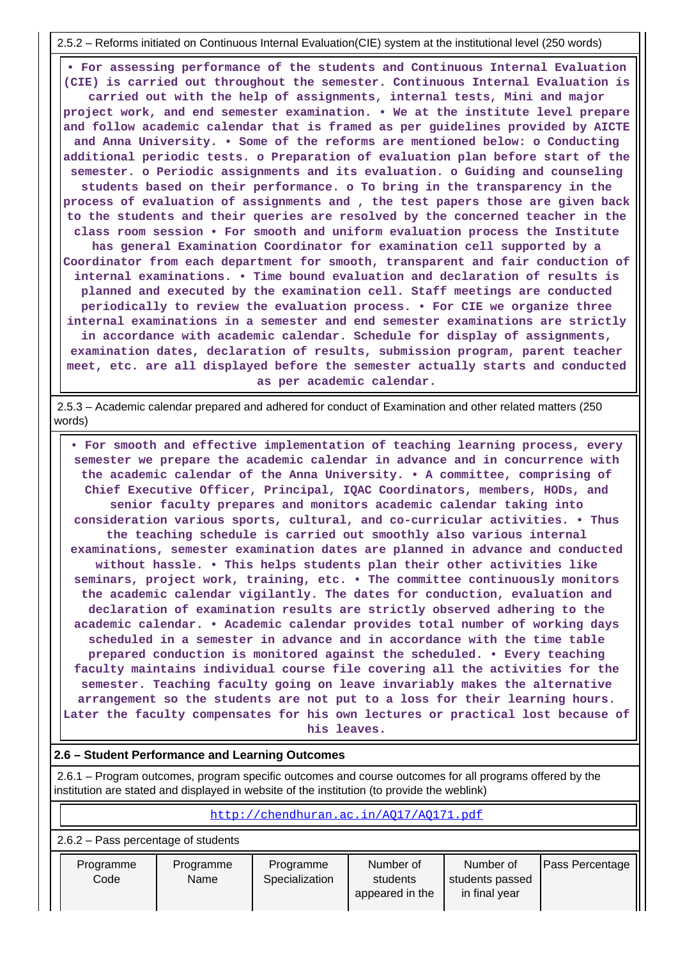2.5.2 – Reforms initiated on Continuous Internal Evaluation(CIE) system at the institutional level (250 words)

 **• For assessing performance of the students and Continuous Internal Evaluation (CIE) is carried out throughout the semester. Continuous Internal Evaluation is carried out with the help of assignments, internal tests, Mini and major project work, and end semester examination. • We at the institute level prepare and follow academic calendar that is framed as per guidelines provided by AICTE and Anna University. • Some of the reforms are mentioned below: o Conducting additional periodic tests. o Preparation of evaluation plan before start of the semester. o Periodic assignments and its evaluation. o Guiding and counseling students based on their performance. o To bring in the transparency in the process of evaluation of assignments and , the test papers those are given back to the students and their queries are resolved by the concerned teacher in the class room session • For smooth and uniform evaluation process the Institute has general Examination Coordinator for examination cell supported by a Coordinator from each department for smooth, transparent and fair conduction of internal examinations. • Time bound evaluation and declaration of results is planned and executed by the examination cell. Staff meetings are conducted periodically to review the evaluation process. • For CIE we organize three internal examinations in a semester and end semester examinations are strictly in accordance with academic calendar. Schedule for display of assignments, examination dates, declaration of results, submission program, parent teacher meet, etc. are all displayed before the semester actually starts and conducted as per academic calendar.**

 2.5.3 – Academic calendar prepared and adhered for conduct of Examination and other related matters (250 words)

 **• For smooth and effective implementation of teaching learning process, every semester we prepare the academic calendar in advance and in concurrence with the academic calendar of the Anna University. • A committee, comprising of Chief Executive Officer, Principal, IQAC Coordinators, members, HODs, and senior faculty prepares and monitors academic calendar taking into consideration various sports, cultural, and co-curricular activities. • Thus the teaching schedule is carried out smoothly also various internal examinations, semester examination dates are planned in advance and conducted without hassle. • This helps students plan their other activities like seminars, project work, training, etc. • The committee continuously monitors the academic calendar vigilantly. The dates for conduction, evaluation and declaration of examination results are strictly observed adhering to the academic calendar. • Academic calendar provides total number of working days scheduled in a semester in advance and in accordance with the time table prepared conduction is monitored against the scheduled. • Every teaching faculty maintains individual course file covering all the activities for the semester. Teaching faculty going on leave invariably makes the alternative arrangement so the students are not put to a loss for their learning hours. Later the faculty compensates for his own lectures or practical lost because of his leaves.**

#### **2.6 – Student Performance and Learning Outcomes**

 $\mathbf{I}$ 

 2.6.1 – Program outcomes, program specific outcomes and course outcomes for all programs offered by the institution are stated and displayed in website of the institution (to provide the weblink)

| http://chendhuran.ac.in/A017/A0171.pdf |                   |                             |                                          |                                               |                        |  |  |  |  |
|----------------------------------------|-------------------|-----------------------------|------------------------------------------|-----------------------------------------------|------------------------|--|--|--|--|
| $2.6.2$ – Pass percentage of students  |                   |                             |                                          |                                               |                        |  |  |  |  |
| Programme<br>Code                      | Programme<br>Name | Programme<br>Specialization | Number of<br>students<br>appeared in the | Number of<br>students passed<br>in final year | <b>Pass Percentage</b> |  |  |  |  |

 $\mathbf{I}$ 

the contract of the contract of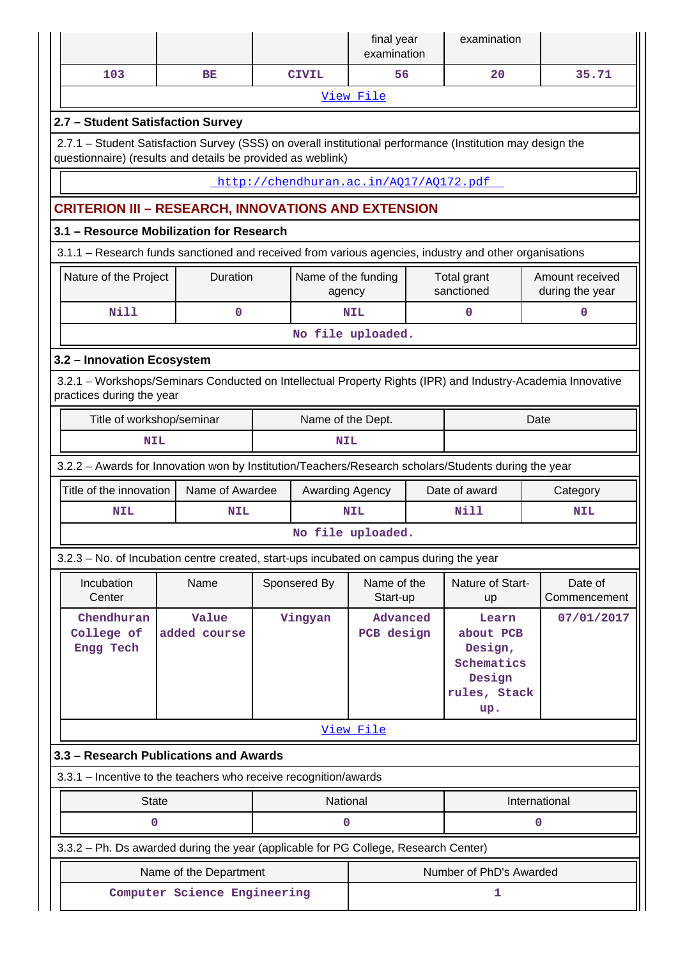|                                                                                                                                                                           |                        |  |                                        | final year<br>examination |      | examination                                                                  |                                    |  |  |  |
|---------------------------------------------------------------------------------------------------------------------------------------------------------------------------|------------------------|--|----------------------------------------|---------------------------|------|------------------------------------------------------------------------------|------------------------------------|--|--|--|
| 103                                                                                                                                                                       | BE                     |  | <b>CIVIL</b>                           | 56                        |      | 20                                                                           | 35.71                              |  |  |  |
|                                                                                                                                                                           |                        |  |                                        | View File                 |      |                                                                              |                                    |  |  |  |
| 2.7 - Student Satisfaction Survey                                                                                                                                         |                        |  |                                        |                           |      |                                                                              |                                    |  |  |  |
| 2.7.1 - Student Satisfaction Survey (SSS) on overall institutional performance (Institution may design the<br>questionnaire) (results and details be provided as weblink) |                        |  |                                        |                           |      |                                                                              |                                    |  |  |  |
|                                                                                                                                                                           |                        |  | http://chendhuran.ac.in/A017/A0172.pdf |                           |      |                                                                              |                                    |  |  |  |
| <b>CRITERION III - RESEARCH, INNOVATIONS AND EXTENSION</b>                                                                                                                |                        |  |                                        |                           |      |                                                                              |                                    |  |  |  |
| 3.1 - Resource Mobilization for Research                                                                                                                                  |                        |  |                                        |                           |      |                                                                              |                                    |  |  |  |
| 3.1.1 - Research funds sanctioned and received from various agencies, industry and other organisations                                                                    |                        |  |                                        |                           |      |                                                                              |                                    |  |  |  |
| Nature of the Project                                                                                                                                                     | Duration               |  | Name of the funding<br>agency          |                           |      | Total grant<br>sanctioned                                                    | Amount received<br>during the year |  |  |  |
| <b>Nill</b>                                                                                                                                                               | $\mathbf 0$            |  |                                        | <b>NIL</b>                |      | 0                                                                            | $\mathbf 0$                        |  |  |  |
|                                                                                                                                                                           |                        |  |                                        | No file uploaded.         |      |                                                                              |                                    |  |  |  |
| 3.2 - Innovation Ecosystem                                                                                                                                                |                        |  |                                        |                           |      |                                                                              |                                    |  |  |  |
| 3.2.1 - Workshops/Seminars Conducted on Intellectual Property Rights (IPR) and Industry-Academia Innovative<br>practices during the year                                  |                        |  |                                        |                           |      |                                                                              |                                    |  |  |  |
| Title of workshop/seminar                                                                                                                                                 | Name of the Dept.      |  |                                        |                           | Date |                                                                              |                                    |  |  |  |
| <b>NIL</b><br><b>NIL</b>                                                                                                                                                  |                        |  |                                        |                           |      |                                                                              |                                    |  |  |  |
| 3.2.2 - Awards for Innovation won by Institution/Teachers/Research scholars/Students during the year                                                                      |                        |  |                                        |                           |      |                                                                              |                                    |  |  |  |
|                                                                                                                                                                           |                        |  |                                        |                           |      |                                                                              |                                    |  |  |  |
| Title of the innovation                                                                                                                                                   | Name of Awardee        |  | Awarding Agency                        |                           |      | Date of award                                                                | Category                           |  |  |  |
| <b>NIL</b>                                                                                                                                                                | <b>NIL</b>             |  |                                        | <b>NIL</b>                |      | Nill                                                                         | <b>NIL</b>                         |  |  |  |
|                                                                                                                                                                           |                        |  |                                        | No file uploaded.         |      |                                                                              |                                    |  |  |  |
| 3.2.3 - No. of Incubation centre created, start-ups incubated on campus during the year                                                                                   |                        |  |                                        |                           |      |                                                                              |                                    |  |  |  |
| Incubation<br>Center                                                                                                                                                      | Name                   |  | Sponsered By                           | Name of the<br>Start-up   |      | Nature of Start-<br>up                                                       | Date of<br>Commencement            |  |  |  |
| Chendhuran<br>College of<br>Engg Tech                                                                                                                                     | Value<br>added course  |  | Vingyan                                | Advanced<br>PCB design    |      | Learn<br>about PCB<br>Design,<br>Schematics<br>Design<br>rules, Stack<br>up. | 07/01/2017                         |  |  |  |
|                                                                                                                                                                           |                        |  |                                        | View File                 |      |                                                                              |                                    |  |  |  |
| 3.3 - Research Publications and Awards                                                                                                                                    |                        |  |                                        |                           |      |                                                                              |                                    |  |  |  |
| 3.3.1 - Incentive to the teachers who receive recognition/awards                                                                                                          |                        |  |                                        |                           |      |                                                                              |                                    |  |  |  |
| <b>State</b>                                                                                                                                                              |                        |  | National                               |                           |      |                                                                              | International                      |  |  |  |
| 0                                                                                                                                                                         |                        |  | 0                                      |                           |      |                                                                              | 0                                  |  |  |  |
| 3.3.2 - Ph. Ds awarded during the year (applicable for PG College, Research Center)                                                                                       |                        |  |                                        |                           |      |                                                                              |                                    |  |  |  |
|                                                                                                                                                                           | Name of the Department |  |                                        |                           |      | Number of PhD's Awarded                                                      |                                    |  |  |  |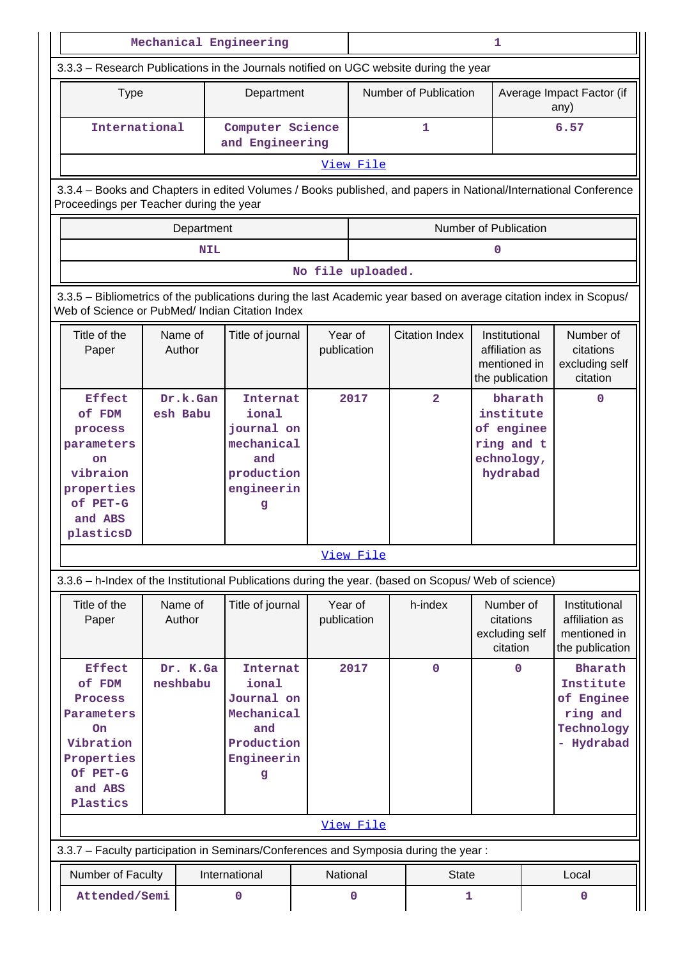|                                                                                                                                                                       |                                                                                                                      |            | Mechanical Engineering                                                    |                         |                        |                       |                                                                    | 1                                                                          |                                                                            |                                                                    |
|-----------------------------------------------------------------------------------------------------------------------------------------------------------------------|----------------------------------------------------------------------------------------------------------------------|------------|---------------------------------------------------------------------------|-------------------------|------------------------|-----------------------|--------------------------------------------------------------------|----------------------------------------------------------------------------|----------------------------------------------------------------------------|--------------------------------------------------------------------|
| 3.3.3 - Research Publications in the Journals notified on UGC website during the year                                                                                 |                                                                                                                      |            |                                                                           |                         |                        |                       |                                                                    |                                                                            |                                                                            |                                                                    |
| <b>Type</b>                                                                                                                                                           |                                                                                                                      |            | Department                                                                |                         |                        |                       | Number of Publication                                              |                                                                            |                                                                            | Average Impact Factor (if<br>any)                                  |
| International                                                                                                                                                         |                                                                                                                      |            | Computer Science<br>and Engineering                                       |                         |                        |                       | $\mathbf{1}$                                                       |                                                                            |                                                                            | 6.57                                                               |
|                                                                                                                                                                       |                                                                                                                      |            |                                                                           |                         | View File              |                       |                                                                    |                                                                            |                                                                            |                                                                    |
| 3.3.4 - Books and Chapters in edited Volumes / Books published, and papers in National/International Conference<br>Proceedings per Teacher during the year            |                                                                                                                      |            |                                                                           |                         |                        |                       |                                                                    |                                                                            |                                                                            |                                                                    |
|                                                                                                                                                                       | Department                                                                                                           |            |                                                                           |                         |                        |                       |                                                                    | Number of Publication                                                      |                                                                            |                                                                    |
|                                                                                                                                                                       |                                                                                                                      | <b>NIL</b> |                                                                           |                         |                        |                       |                                                                    | 0                                                                          |                                                                            |                                                                    |
|                                                                                                                                                                       |                                                                                                                      |            |                                                                           |                         | No file uploaded.      |                       |                                                                    |                                                                            |                                                                            |                                                                    |
| 3.3.5 - Bibliometrics of the publications during the last Academic year based on average citation index in Scopus/<br>Web of Science or PubMed/ Indian Citation Index |                                                                                                                      |            |                                                                           |                         |                        |                       |                                                                    |                                                                            |                                                                            |                                                                    |
| Title of the<br>Paper                                                                                                                                                 | Name of<br>Title of journal<br>Author                                                                                |            |                                                                           | Year of<br>publication  |                        | <b>Citation Index</b> | Institutional<br>affiliation as<br>mentioned in<br>the publication |                                                                            | Number of<br>citations<br>excluding self<br>citation                       |                                                                    |
| <b>Effect</b><br>of FDM<br>process<br>parameters<br>on<br>vibraion<br>properties<br>of PET-G<br>and ABS<br>plasticsD                                                  | Dr.k.Gan<br>esh Babu                                                                                                 |            | ional<br>journal on<br>mechanical<br>and<br>production<br>engineerin<br>g | 2017<br><b>Internat</b> |                        |                       | $\overline{2}$                                                     | bharath<br>institute<br>of enginee<br>ring and t<br>echnology,<br>hydrabad |                                                                            | $\mathbf 0$                                                        |
|                                                                                                                                                                       |                                                                                                                      |            |                                                                           |                         | View File              |                       |                                                                    |                                                                            |                                                                            |                                                                    |
| 3.3.6 - h-Index of the Institutional Publications during the year. (based on Scopus/ Web of science)                                                                  |                                                                                                                      |            |                                                                           |                         |                        |                       |                                                                    |                                                                            |                                                                            |                                                                    |
| Title of the<br>Paper                                                                                                                                                 | Name of<br>Author                                                                                                    |            | Title of journal                                                          |                         | Year of<br>publication |                       | h-index                                                            | Number of<br>citations<br>excluding self<br>citation                       |                                                                            | Institutional<br>affiliation as<br>mentioned in<br>the publication |
| <b>Effect</b><br>of FDM<br>Process<br>Parameters<br>On<br>Vibration<br>Properties<br>Of PET-G<br>and ABS<br>Plastics                                                  | Dr. K.Ga<br><b>Internat</b><br>ional<br>neshbabu<br>Journal on<br>Mechanical<br>and<br>Production<br>Engineerin<br>g |            |                                                                           | 2017                    |                        | $\mathbf 0$           | $\mathbf 0$                                                        |                                                                            | Bharath<br>Institute<br>of Enginee<br>ring and<br>Technology<br>- Hydrabad |                                                                    |
|                                                                                                                                                                       |                                                                                                                      |            |                                                                           |                         | View File              |                       |                                                                    |                                                                            |                                                                            |                                                                    |
| 3.3.7 - Faculty participation in Seminars/Conferences and Symposia during the year:                                                                                   |                                                                                                                      |            |                                                                           |                         |                        |                       |                                                                    |                                                                            |                                                                            |                                                                    |
| Number of Faculty                                                                                                                                                     |                                                                                                                      |            | International                                                             |                         | National               |                       | <b>State</b>                                                       |                                                                            |                                                                            | Local                                                              |
| Attended/Semi                                                                                                                                                         |                                                                                                                      |            | 0                                                                         |                         | 0                      |                       | 1                                                                  |                                                                            |                                                                            | $\mathbf 0$                                                        |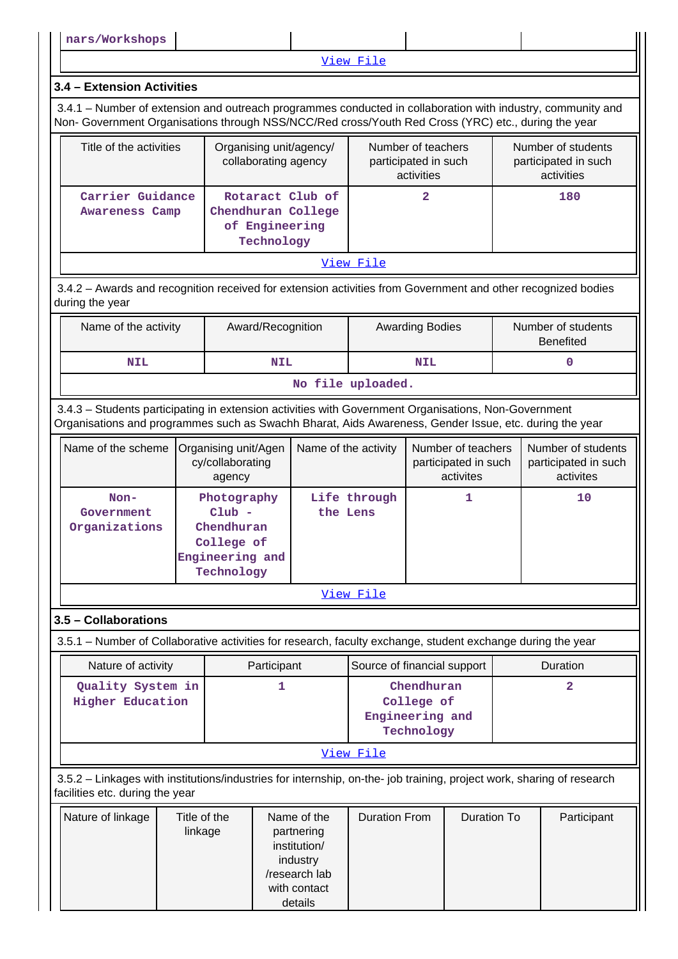[View File](https://assessmentonline.naac.gov.in/public/Postacc/Faculty_participation/17403_Faculty_participation_1641373098.xlsx)

# **3.4 – Extension Activities**

 3.4.1 – Number of extension and outreach programmes conducted in collaboration with industry, community and Non- Government Organisations through NSS/NCC/Red cross/Youth Red Cross (YRC) etc., during the year

| Title of the activities                   | Organising unit/agency/<br>collaborating agency                        | Number of teachers<br>participated in such<br>activities | Number of students<br>participated in such<br>activities |  |  |  |  |  |
|-------------------------------------------|------------------------------------------------------------------------|----------------------------------------------------------|----------------------------------------------------------|--|--|--|--|--|
| Carrier Guidance<br><b>Awareness Camp</b> | Rotaract Club of<br>Chendhuran College<br>of Engineering<br>Technology |                                                          | 180                                                      |  |  |  |  |  |
| View File                                 |                                                                        |                                                          |                                                          |  |  |  |  |  |

 3.4.2 – Awards and recognition received for extension activities from Government and other recognized bodies during the year

| Name of the activity | Award/Recognition | <b>Awarding Bodies</b> | Number of students<br><b>Benefited</b> |  |  |  |  |
|----------------------|-------------------|------------------------|----------------------------------------|--|--|--|--|
| <b>NIL</b>           | <b>NIL</b>        | NIL                    |                                        |  |  |  |  |
| No file uploaded.    |                   |                        |                                        |  |  |  |  |

 3.4.3 – Students participating in extension activities with Government Organisations, Non-Government Organisations and programmes such as Swachh Bharat, Aids Awareness, Gender Issue, etc. during the year

| Name of the scheme                    | Organising unit/Agen<br>cy/collaborating<br>agency                                   | Name of the activity     | Number of teachers<br>participated in such<br>activites | Number of students<br>participated in such<br>activites |
|---------------------------------------|--------------------------------------------------------------------------------------|--------------------------|---------------------------------------------------------|---------------------------------------------------------|
| $Non-$<br>Government<br>Organizations | Photography<br>$Club -$<br>Chendhuran<br>College of<br>Engineering and<br>Technology | Life through<br>the Lens |                                                         | 10                                                      |

[View File](https://assessmentonline.naac.gov.in/public/Postacc/Students_in_extension/17403_Students_in_extension_1640971464.xls)

# **3.5 – Collaborations**

3.5.1 – Number of Collaborative activities for research, faculty exchange, student exchange during the year

| Nature of activity                           | Participant | Source of financial support                               | Duration |
|----------------------------------------------|-------------|-----------------------------------------------------------|----------|
| Quality System in<br><b>Higher Education</b> |             | Chendhuran<br>College of<br>Engineering and<br>Technology |          |
|                                              |             | View File                                                 |          |

 3.5.2 – Linkages with institutions/industries for internship, on-the- job training, project work, sharing of research facilities etc. during the year

| Nature of linkage | Title of the<br>linkage | Name of the<br>partnering<br>institution/<br>industry<br>/research lab | <b>Duration From</b> | Duration To | Participant |
|-------------------|-------------------------|------------------------------------------------------------------------|----------------------|-------------|-------------|
|                   |                         | with contact                                                           |                      |             |             |
|                   |                         | details                                                                |                      |             |             |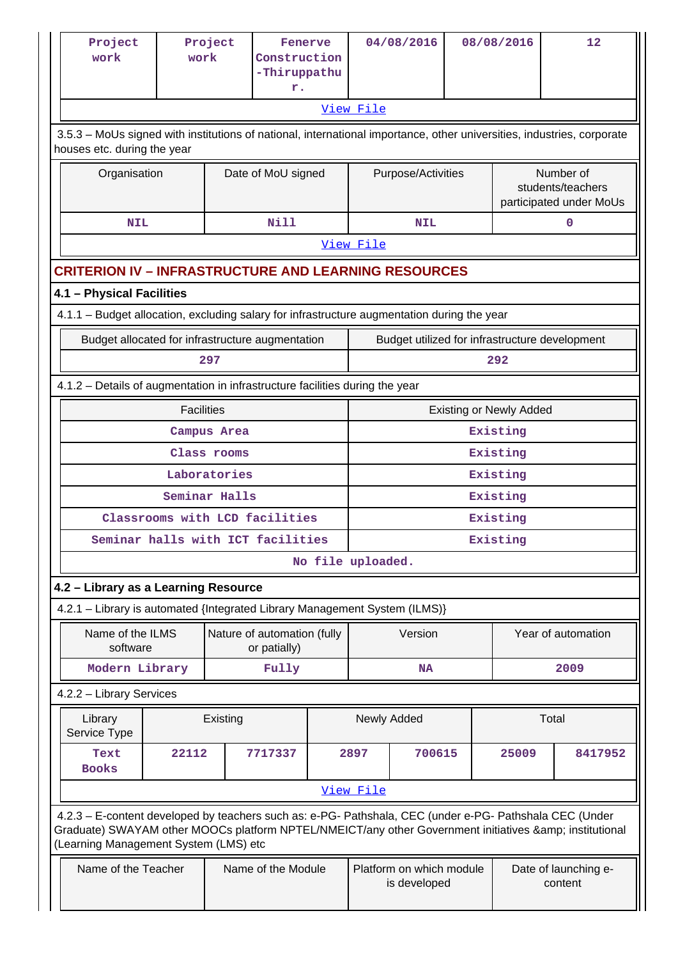| Project<br>work                                                                                                                                                                                                                                         | work              | Project                     | Fenerve<br>Construction<br>-Thiruppathu<br>r. |                   |                                | 04/08/2016                               |  | 08/08/2016                                                | 12                                             |  |  |
|---------------------------------------------------------------------------------------------------------------------------------------------------------------------------------------------------------------------------------------------------------|-------------------|-----------------------------|-----------------------------------------------|-------------------|--------------------------------|------------------------------------------|--|-----------------------------------------------------------|------------------------------------------------|--|--|
|                                                                                                                                                                                                                                                         |                   |                             |                                               |                   | View File                      |                                          |  |                                                           |                                                |  |  |
| 3.5.3 - MoUs signed with institutions of national, international importance, other universities, industries, corporate<br>houses etc. during the year                                                                                                   |                   |                             |                                               |                   |                                |                                          |  |                                                           |                                                |  |  |
| Organisation                                                                                                                                                                                                                                            |                   |                             | Date of MoU signed                            |                   |                                | Purpose/Activities                       |  | Number of<br>students/teachers<br>participated under MoUs |                                                |  |  |
| <b>NIL</b>                                                                                                                                                                                                                                              |                   |                             | <b>Nill</b>                                   |                   | <b>NIL</b>                     |                                          |  | $\mathbf 0$                                               |                                                |  |  |
|                                                                                                                                                                                                                                                         |                   |                             |                                               |                   | View File                      |                                          |  |                                                           |                                                |  |  |
| <b>CRITERION IV - INFRASTRUCTURE AND LEARNING RESOURCES</b>                                                                                                                                                                                             |                   |                             |                                               |                   |                                |                                          |  |                                                           |                                                |  |  |
| 4.1 - Physical Facilities                                                                                                                                                                                                                               |                   |                             |                                               |                   |                                |                                          |  |                                                           |                                                |  |  |
| 4.1.1 - Budget allocation, excluding salary for infrastructure augmentation during the year                                                                                                                                                             |                   |                             |                                               |                   |                                |                                          |  |                                                           |                                                |  |  |
| Budget allocated for infrastructure augmentation<br>297                                                                                                                                                                                                 |                   |                             |                                               |                   |                                |                                          |  |                                                           | Budget utilized for infrastructure development |  |  |
|                                                                                                                                                                                                                                                         |                   |                             |                                               |                   |                                |                                          |  | 292                                                       |                                                |  |  |
| 4.1.2 - Details of augmentation in infrastructure facilities during the year                                                                                                                                                                            |                   |                             |                                               |                   |                                |                                          |  |                                                           |                                                |  |  |
|                                                                                                                                                                                                                                                         | <b>Facilities</b> |                             |                                               |                   | <b>Existing or Newly Added</b> |                                          |  |                                                           |                                                |  |  |
|                                                                                                                                                                                                                                                         |                   | Campus Area                 |                                               |                   | Existing<br>Existing           |                                          |  |                                                           |                                                |  |  |
|                                                                                                                                                                                                                                                         |                   | Class rooms<br>Laboratories |                                               |                   | Existing                       |                                          |  |                                                           |                                                |  |  |
|                                                                                                                                                                                                                                                         |                   | Seminar Halls               |                                               |                   | Existing                       |                                          |  |                                                           |                                                |  |  |
|                                                                                                                                                                                                                                                         |                   |                             | Classrooms with LCD facilities                |                   | Existing                       |                                          |  |                                                           |                                                |  |  |
| Seminar halls with ICT facilities                                                                                                                                                                                                                       |                   |                             |                                               |                   | Existing                       |                                          |  |                                                           |                                                |  |  |
|                                                                                                                                                                                                                                                         |                   |                             |                                               | No file uploaded. |                                |                                          |  |                                                           |                                                |  |  |
| 4.2 - Library as a Learning Resource                                                                                                                                                                                                                    |                   |                             |                                               |                   |                                |                                          |  |                                                           |                                                |  |  |
| 4.2.1 - Library is automated {Integrated Library Management System (ILMS)}                                                                                                                                                                              |                   |                             |                                               |                   |                                |                                          |  |                                                           |                                                |  |  |
| Name of the ILMS<br>software                                                                                                                                                                                                                            |                   |                             | Nature of automation (fully<br>or patially)   |                   |                                | Version                                  |  |                                                           | Year of automation                             |  |  |
| Modern Library                                                                                                                                                                                                                                          |                   |                             | Fully                                         |                   |                                | NA                                       |  |                                                           | 2009                                           |  |  |
| 4.2.2 - Library Services                                                                                                                                                                                                                                |                   |                             |                                               |                   |                                |                                          |  |                                                           |                                                |  |  |
| Library<br>Service Type                                                                                                                                                                                                                                 |                   | Existing                    |                                               |                   |                                | Newly Added                              |  |                                                           | Total                                          |  |  |
| Text<br><b>Books</b>                                                                                                                                                                                                                                    | 22112             |                             | 7717337                                       |                   | 2897                           | 700615                                   |  | 25009                                                     | 8417952                                        |  |  |
|                                                                                                                                                                                                                                                         |                   |                             |                                               |                   | View File                      |                                          |  |                                                           |                                                |  |  |
| 4.2.3 - E-content developed by teachers such as: e-PG- Pathshala, CEC (under e-PG- Pathshala CEC (Under<br>Graduate) SWAYAM other MOOCs platform NPTEL/NMEICT/any other Government initiatives & institutional<br>(Learning Management System (LMS) etc |                   |                             |                                               |                   |                                |                                          |  |                                                           |                                                |  |  |
| Name of the Teacher                                                                                                                                                                                                                                     |                   |                             | Name of the Module                            |                   |                                | Platform on which module<br>is developed |  |                                                           | Date of launching e-<br>content                |  |  |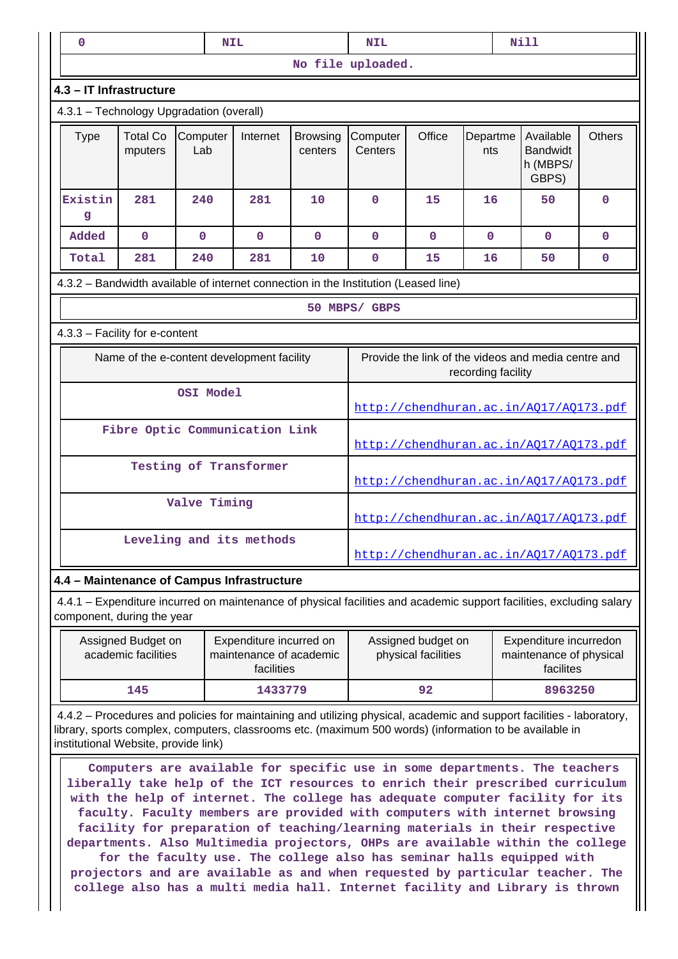| 0                                                                                                                                               |                                           |                 | <b>NIL</b>                                                       | <b>Nill</b><br><b>NIL</b>  |                                        |                                           |                 |                                                                                                                                                                                                                                                                                                                              |               |
|-------------------------------------------------------------------------------------------------------------------------------------------------|-------------------------------------------|-----------------|------------------------------------------------------------------|----------------------------|----------------------------------------|-------------------------------------------|-----------------|------------------------------------------------------------------------------------------------------------------------------------------------------------------------------------------------------------------------------------------------------------------------------------------------------------------------------|---------------|
|                                                                                                                                                 |                                           |                 |                                                                  |                            | No file uploaded.                      |                                           |                 |                                                                                                                                                                                                                                                                                                                              |               |
| 4.3 - IT Infrastructure                                                                                                                         |                                           |                 |                                                                  |                            |                                        |                                           |                 |                                                                                                                                                                                                                                                                                                                              |               |
| 4.3.1 - Technology Upgradation (overall)                                                                                                        |                                           |                 |                                                                  |                            |                                        |                                           |                 |                                                                                                                                                                                                                                                                                                                              |               |
| <b>Type</b>                                                                                                                                     | <b>Total Co</b><br>mputers                | Computer<br>Lab | Internet                                                         | <b>Browsing</b><br>centers | Computer<br>Centers                    | Office                                    | Departme<br>nts | Available<br><b>Bandwidt</b><br>h (MBPS/<br>GBPS)                                                                                                                                                                                                                                                                            | <b>Others</b> |
| Existin<br>g                                                                                                                                    | 281                                       | 240             | 281                                                              | 10                         | $\Omega$                               | 15                                        | 16              | 50                                                                                                                                                                                                                                                                                                                           | $\mathbf 0$   |
| Added                                                                                                                                           | $\mathbf 0$                               | $\mathbf 0$     | $\mathbf 0$                                                      | $\mathbf{0}$               | $\mathbf 0$                            | $\mathbf 0$                               | $\mathbf 0$     | $\mathbf 0$                                                                                                                                                                                                                                                                                                                  | $\mathbf 0$   |
| Total                                                                                                                                           | 281                                       | 240             | 281                                                              | 10                         | $\mathbf 0$                            | 15                                        | 16              | 50                                                                                                                                                                                                                                                                                                                           | $\mathbf 0$   |
| 4.3.2 - Bandwidth available of internet connection in the Institution (Leased line)                                                             |                                           |                 |                                                                  |                            |                                        |                                           |                 |                                                                                                                                                                                                                                                                                                                              |               |
|                                                                                                                                                 |                                           |                 |                                                                  |                            | 50 MBPS/ GBPS                          |                                           |                 |                                                                                                                                                                                                                                                                                                                              |               |
| 4.3.3 - Facility for e-content                                                                                                                  |                                           |                 |                                                                  |                            |                                        |                                           |                 |                                                                                                                                                                                                                                                                                                                              |               |
| Provide the link of the videos and media centre and<br>Name of the e-content development facility<br>recording facility                         |                                           |                 |                                                                  |                            |                                        |                                           |                 |                                                                                                                                                                                                                                                                                                                              |               |
|                                                                                                                                                 |                                           | OSI Model       |                                                                  |                            | http://chendhuran.ac.in/A017/A0173.pdf |                                           |                 |                                                                                                                                                                                                                                                                                                                              |               |
|                                                                                                                                                 | Fibre Optic Communication Link            |                 |                                                                  |                            | http://chendhuran.ac.in/AQ17/AQ173.pdf |                                           |                 |                                                                                                                                                                                                                                                                                                                              |               |
|                                                                                                                                                 |                                           |                 | Testing of Transformer                                           |                            |                                        |                                           |                 | http://chendhuran.ac.in/AQ17/AQ173.pdf                                                                                                                                                                                                                                                                                       |               |
|                                                                                                                                                 |                                           | Valve Timing    |                                                                  |                            |                                        |                                           |                 | http://chendhuran.ac.in/AQ17/AQ173.pdf                                                                                                                                                                                                                                                                                       |               |
|                                                                                                                                                 |                                           |                 | Leveling and its methods                                         |                            |                                        |                                           |                 | http://chendhuran.ac.in/A017/A0173.pdf                                                                                                                                                                                                                                                                                       |               |
| 4.4 - Maintenance of Campus Infrastructure                                                                                                      |                                           |                 |                                                                  |                            |                                        |                                           |                 |                                                                                                                                                                                                                                                                                                                              |               |
| component, during the year                                                                                                                      |                                           |                 |                                                                  |                            |                                        |                                           |                 | 4.4.1 – Expenditure incurred on maintenance of physical facilities and academic support facilities, excluding salary                                                                                                                                                                                                         |               |
|                                                                                                                                                 | Assigned Budget on<br>academic facilities |                 | Expenditure incurred on<br>maintenance of academic<br>facilities |                            |                                        | Assigned budget on<br>physical facilities |                 | Expenditure incurredon<br>maintenance of physical<br>facilites                                                                                                                                                                                                                                                               |               |
|                                                                                                                                                 | 145                                       |                 | 1433779                                                          |                            |                                        | 92                                        |                 | 8963250                                                                                                                                                                                                                                                                                                                      |               |
| library, sports complex, computers, classrooms etc. (maximum 500 words) (information to be available in<br>institutional Website, provide link) |                                           |                 |                                                                  |                            |                                        |                                           |                 | 4.4.2 – Procedures and policies for maintaining and utilizing physical, academic and support facilities - laboratory,                                                                                                                                                                                                        |               |
|                                                                                                                                                 |                                           |                 |                                                                  |                            |                                        |                                           |                 | Computers are available for specific use in some departments. The teachers<br>liberally take help of the ICT resources to enrich their prescribed curriculum<br>with the help of internet. The college has adequate computer facility for its<br>faculty. Faculty members are provided with computers with internet browsing |               |

**facility for preparation of teaching/learning materials in their respective departments. Also Multimedia projectors, OHPs are available within the college for the faculty use. The college also has seminar halls equipped with projectors and are available as and when requested by particular teacher. The college also has a multi media hall. Internet facility and Library is thrown**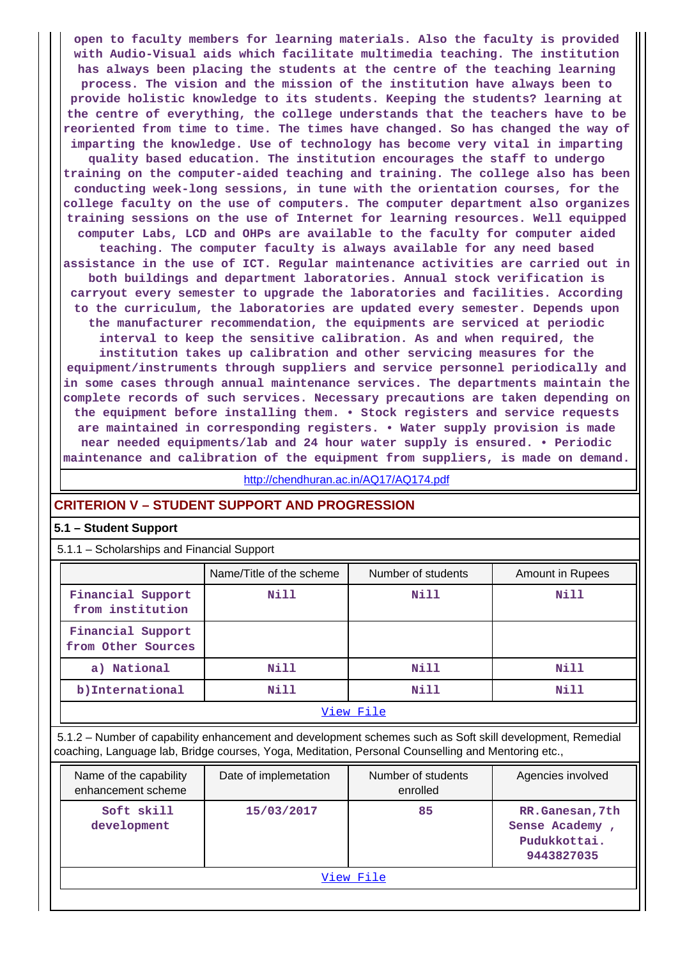**open to faculty members for learning materials. Also the faculty is provided with Audio-Visual aids which facilitate multimedia teaching. The institution has always been placing the students at the centre of the teaching learning process. The vision and the mission of the institution have always been to provide holistic knowledge to its students. Keeping the students? learning at the centre of everything, the college understands that the teachers have to be reoriented from time to time. The times have changed. So has changed the way of imparting the knowledge. Use of technology has become very vital in imparting quality based education. The institution encourages the staff to undergo training on the computer-aided teaching and training. The college also has been conducting week-long sessions, in tune with the orientation courses, for the college faculty on the use of computers. The computer department also organizes training sessions on the use of Internet for learning resources. Well equipped computer Labs, LCD and OHPs are available to the faculty for computer aided teaching. The computer faculty is always available for any need based assistance in the use of ICT. Regular maintenance activities are carried out in both buildings and department laboratories. Annual stock verification is carryout every semester to upgrade the laboratories and facilities. According to the curriculum, the laboratories are updated every semester. Depends upon the manufacturer recommendation, the equipments are serviced at periodic interval to keep the sensitive calibration. As and when required, the institution takes up calibration and other servicing measures for the equipment/instruments through suppliers and service personnel periodically and in some cases through annual maintenance services. The departments maintain the complete records of such services. Necessary precautions are taken depending on the equipment before installing them. • Stock registers and service requests are maintained in corresponding registers. • Water supply provision is made near needed equipments/lab and 24 hour water supply is ensured. • Periodic maintenance and calibration of the equipment from suppliers, is made on demand.**

<http://chendhuran.ac.in/AQ17/AQ174.pdf>

# **CRITERION V – STUDENT SUPPORT AND PROGRESSION**

## **5.1 – Student Support**

5.1.1 – Scholarships and Financial Support

|                                         | Name/Title of the scheme | Number of students | Amount in Rupees |  |
|-----------------------------------------|--------------------------|--------------------|------------------|--|
| Financial Support<br>from institution   | Nill                     | Nill               | Nill             |  |
| Financial Support<br>from Other Sources |                          |                    |                  |  |
| a) National                             | Nill                     | Nill               | Nill             |  |
| b) International                        | Nill                     | Nill               | Nill             |  |
| View File                               |                          |                    |                  |  |

 5.1.2 – Number of capability enhancement and development schemes such as Soft skill development, Remedial coaching, Language lab, Bridge courses, Yoga, Meditation, Personal Counselling and Mentoring etc.,

| Name of the capability<br>enhancement scheme | Date of implemetation | Number of students<br>enrolled | Agencies involved                                               |  |
|----------------------------------------------|-----------------------|--------------------------------|-----------------------------------------------------------------|--|
| Soft skill<br>development                    | 15/03/2017            | 85                             | RR.Ganesan, 7th<br>Sense Academy,<br>Pudukkottai.<br>9443827035 |  |
| View File                                    |                       |                                |                                                                 |  |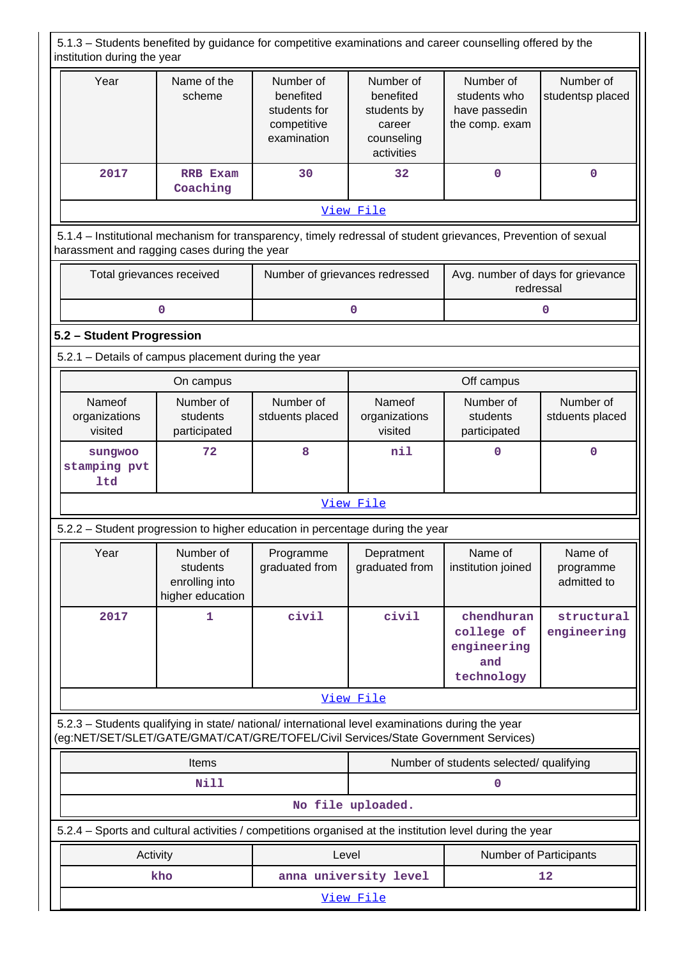5.1.3 – Students benefited by guidance for competitive examinations and career counselling offered by the institution during the year Year | Name of the scheme Number of benefited students for competitive examination Number of benefited students by career counseling activities Number of students who have passedin the comp. exam Number of studentsp placed  **2017 RRB Exam Coaching 30 32 0 0 0**  [View File](https://assessmentonline.naac.gov.in/public/Postacc/Guidance/17403_Guidance_1640972540.xlsx) 5.1.4 – Institutional mechanism for transparency, timely redressal of student grievances, Prevention of sexual harassment and ragging cases during the year Total grievances received | Number of grievances redressed | Avg. number of days for grievance redressal **0** 0 0 0 0 **5.2 – Student Progression** 5.2.1 – Details of campus placement during the year **On campus On campus On campus Deficiency Off campus** Nameof organizations visited Number of students participated Number of stduents placed Nameof organizations visited Number of students participated Number of stduents placed  **sungwoo stamping pvt ltd 72 8 nil 0 0** [View File](https://assessmentonline.naac.gov.in/public/Postacc/Placement/17403_Placement_1640972554.xls) 5.2.2 – Student progression to higher education in percentage during the year Year | Number of students enrolling into higher education Programme graduated from **Depratment** graduated from Name of institution joined Name of programme admitted to  **2017 1 civil civil chendhuran college of engineering and technology structural engineering** [View File](https://assessmentonline.naac.gov.in/public/Postacc/Progression/17403_Progression_1641539966.xlsx) 5.2.3 – Students qualifying in state/ national/ international level examinations during the year (eg:NET/SET/SLET/GATE/GMAT/CAT/GRE/TOFEL/Civil Services/State Government Services) Items **Number of students selected/ qualifying Nill 0 No file uploaded.** 5.2.4 – Sports and cultural activities / competitions organised at the institution level during the year Activity **Activity Level** Level **Number of Participants kho** anna university level 12 [View File](https://assessmentonline.naac.gov.in/public/Postacc/Activities_Organised/17403_Activities_Organised_1640972569.xls)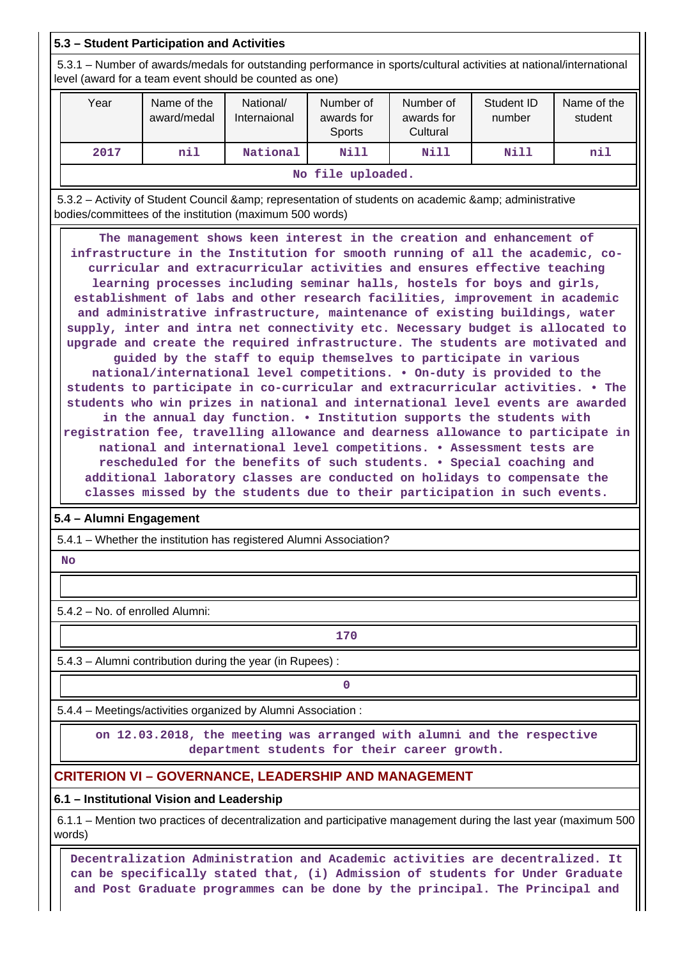# **5.3 – Student Participation and Activities**

 5.3.1 – Number of awards/medals for outstanding performance in sports/cultural activities at national/international level (award for a team event should be counted as one)

| Year              | Name of the<br>award/medal | National/<br>Internaional | Number of<br>awards for<br><b>Sports</b> | Number of<br>awards for<br>Cultural | Student ID<br>number | Name of the<br>student |
|-------------------|----------------------------|---------------------------|------------------------------------------|-------------------------------------|----------------------|------------------------|
| 2017              | nil                        | National                  | Nill                                     | Nill                                | Nill                 | nil                    |
| No file uploaded. |                            |                           |                                          |                                     |                      |                        |

5.3.2 – Activity of Student Council & amp; representation of students on academic & amp; administrative bodies/committees of the institution (maximum 500 words)

 **The management shows keen interest in the creation and enhancement of infrastructure in the Institution for smooth running of all the academic, cocurricular and extracurricular activities and ensures effective teaching learning processes including seminar halls, hostels for boys and girls, establishment of labs and other research facilities, improvement in academic and administrative infrastructure, maintenance of existing buildings, water supply, inter and intra net connectivity etc. Necessary budget is allocated to upgrade and create the required infrastructure. The students are motivated and guided by the staff to equip themselves to participate in various national/international level competitions. • On-duty is provided to the students to participate in co-curricular and extracurricular activities. • The students who win prizes in national and international level events are awarded in the annual day function. • Institution supports the students with registration fee, travelling allowance and dearness allowance to participate in national and international level competitions. • Assessment tests are rescheduled for the benefits of such students. • Special coaching and additional laboratory classes are conducted on holidays to compensate the classes missed by the students due to their participation in such events.**

# **5.4 – Alumni Engagement**

5.4.1 – Whether the institution has registered Alumni Association?

 **No**

5.4.2 – No. of enrolled Alumni:

**170**

5.4.3 – Alumni contribution during the year (in Rupees) :

**0**

5.4.4 – Meetings/activities organized by Alumni Association :

 **on 12.03.2018, the meeting was arranged with alumni and the respective department students for their career growth.**

# **CRITERION VI – GOVERNANCE, LEADERSHIP AND MANAGEMENT**

**6.1 – Institutional Vision and Leadership**

 6.1.1 – Mention two practices of decentralization and participative management during the last year (maximum 500 words)

 **Decentralization Administration and Academic activities are decentralized. It can be specifically stated that, (i) Admission of students for Under Graduate and Post Graduate programmes can be done by the principal. The Principal and**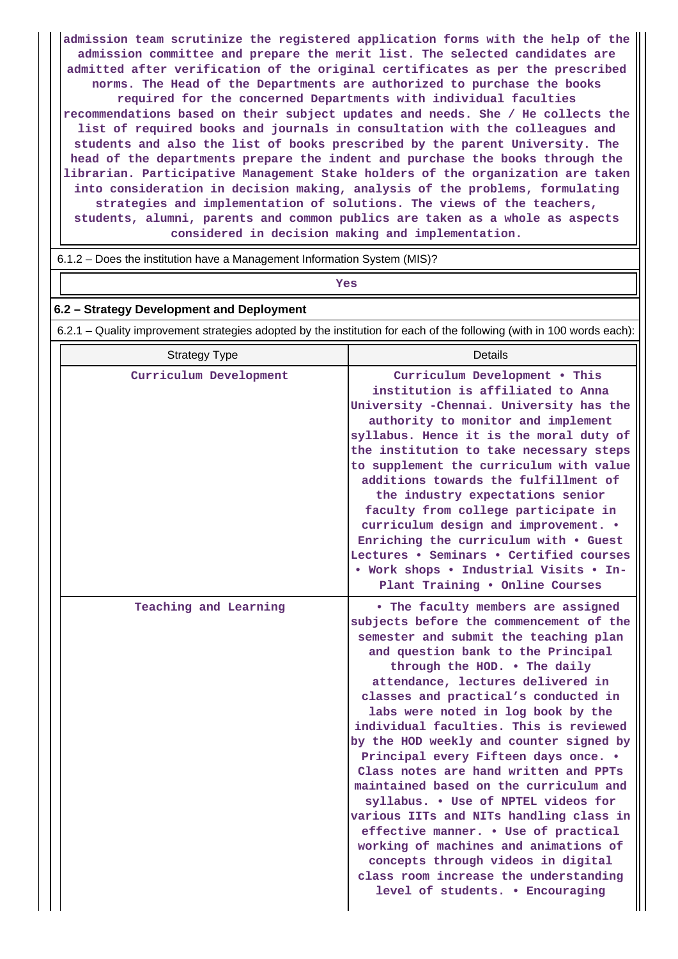**admission team scrutinize the registered application forms with the help of the admission committee and prepare the merit list. The selected candidates are admitted after verification of the original certificates as per the prescribed norms. The Head of the Departments are authorized to purchase the books required for the concerned Departments with individual faculties recommendations based on their subject updates and needs. She / He collects the list of required books and journals in consultation with the colleagues and students and also the list of books prescribed by the parent University. The head of the departments prepare the indent and purchase the books through the librarian. Participative Management Stake holders of the organization are taken into consideration in decision making, analysis of the problems, formulating strategies and implementation of solutions. The views of the teachers, students, alumni, parents and common publics are taken as a whole as aspects considered in decision making and implementation.**

6.1.2 – Does the institution have a Management Information System (MIS)?

# *Yes*

### **6.2 – Strategy Development and Deployment**

6.2.1 – Quality improvement strategies adopted by the institution for each of the following (with in 100 words each):

| <b>Strategy Type</b>   | Details                                                                                                                                                                                                                                                                                                                                                                                                                                                                                                                                                                                                                                                                                                                                                                                                               |
|------------------------|-----------------------------------------------------------------------------------------------------------------------------------------------------------------------------------------------------------------------------------------------------------------------------------------------------------------------------------------------------------------------------------------------------------------------------------------------------------------------------------------------------------------------------------------------------------------------------------------------------------------------------------------------------------------------------------------------------------------------------------------------------------------------------------------------------------------------|
| Curriculum Development | Curriculum Development . This<br>institution is affiliated to Anna<br>University -Chennai. University has the<br>authority to monitor and implement<br>syllabus. Hence it is the moral duty of<br>the institution to take necessary steps<br>to supplement the curriculum with value<br>additions towards the fulfillment of<br>the industry expectations senior<br>faculty from college participate in<br>curriculum design and improvement. .<br>Enriching the curriculum with . Guest<br>Lectures . Seminars . Certified courses<br>• Work shops • Industrial Visits • In-<br>Plant Training . Online Courses                                                                                                                                                                                                      |
| Teaching and Learning  | . The faculty members are assigned<br>subjects before the commencement of the<br>semester and submit the teaching plan<br>and question bank to the Principal<br>through the HOD. . The daily<br>attendance, lectures delivered in<br>classes and practical's conducted in<br>labs were noted in log book by the<br>individual faculties. This is reviewed<br>by the HOD weekly and counter signed by<br>Principal every Fifteen days once. .<br>Class notes are hand written and PPTs<br>maintained based on the curriculum and<br>syllabus. . Use of NPTEL videos for<br>various IITs and NITs handling class in<br>effective manner. . Use of practical<br>working of machines and animations of<br>concepts through videos in digital<br>class room increase the understanding<br>level of students. . Encouraging |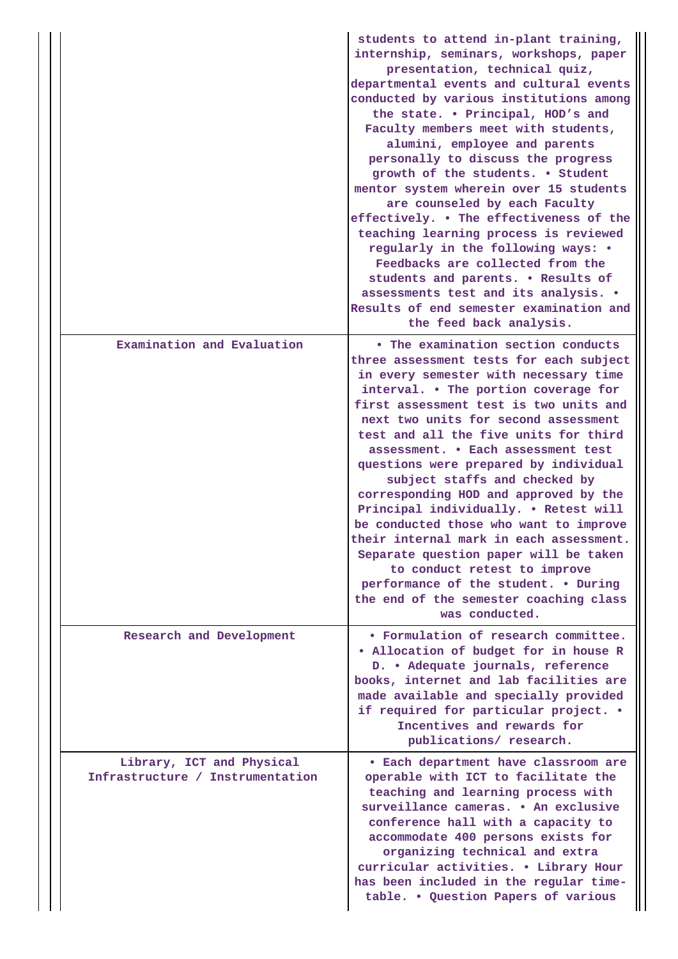|                                                               | students to attend in-plant training,<br>internship, seminars, workshops, paper<br>presentation, technical quiz,<br>departmental events and cultural events<br>conducted by various institutions among<br>the state. . Principal, HOD's and<br>Faculty members meet with students,<br>alumini, employee and parents<br>personally to discuss the progress<br>growth of the students. . Student<br>mentor system wherein over 15 students<br>are counseled by each Faculty<br>effectively. . The effectiveness of the<br>teaching learning process is reviewed<br>regularly in the following ways: •<br>Feedbacks are collected from the<br>students and parents. . Results of<br>assessments test and its analysis. .<br>Results of end semester examination and<br>the feed back analysis. |
|---------------------------------------------------------------|---------------------------------------------------------------------------------------------------------------------------------------------------------------------------------------------------------------------------------------------------------------------------------------------------------------------------------------------------------------------------------------------------------------------------------------------------------------------------------------------------------------------------------------------------------------------------------------------------------------------------------------------------------------------------------------------------------------------------------------------------------------------------------------------|
| Examination and Evaluation                                    | • The examination section conducts<br>three assessment tests for each subject<br>in every semester with necessary time<br>interval. . The portion coverage for<br>first assessment test is two units and<br>next two units for second assessment<br>test and all the five units for third<br>assessment. . Each assessment test<br>questions were prepared by individual<br>subject staffs and checked by<br>corresponding HOD and approved by the<br>Principal individually. . Retest will<br>be conducted those who want to improve<br>their internal mark in each assessment<br>Separate question paper will be taken<br>to conduct retest to improve<br>performance of the student. . During<br>the end of the semester coaching class<br>was conducted.                                |
| Research and Development                                      | • Formulation of research committee.<br>. Allocation of budget for in house R<br>D. • Adequate journals, reference<br>books, internet and lab facilities are<br>made available and specially provided<br>if required for particular project. .<br>Incentives and rewards for<br>publications/ research.                                                                                                                                                                                                                                                                                                                                                                                                                                                                                     |
| Library, ICT and Physical<br>Infrastructure / Instrumentation | • Each department have classroom are<br>operable with ICT to facilitate the<br>teaching and learning process with<br>surveillance cameras. • An exclusive<br>conference hall with a capacity to<br>accommodate 400 persons exists for<br>organizing technical and extra<br>curricular activities. . Library Hour<br>has been included in the regular time-<br>table. . Question Papers of various                                                                                                                                                                                                                                                                                                                                                                                           |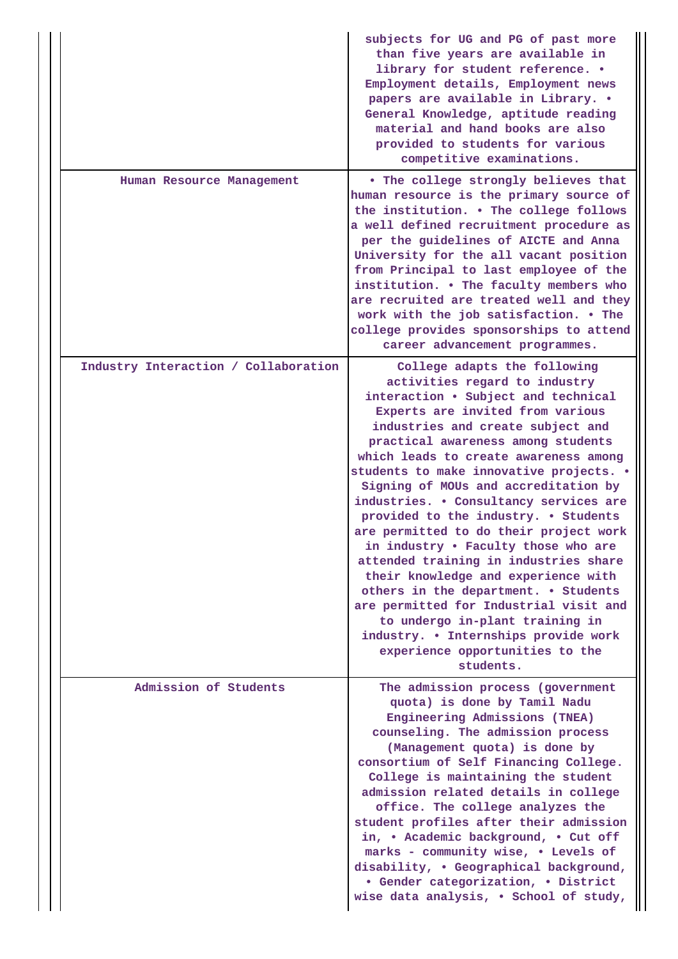|                                      | subjects for UG and PG of past more<br>than five years are available in<br>library for student reference. .<br>Employment details, Employment news<br>papers are available in Library. .<br>General Knowledge, aptitude reading<br>material and hand books are also<br>provided to students for various<br>competitive examinations.                                                                                                                                                                                                                                                                                                                                                                                                                                                                            |
|--------------------------------------|-----------------------------------------------------------------------------------------------------------------------------------------------------------------------------------------------------------------------------------------------------------------------------------------------------------------------------------------------------------------------------------------------------------------------------------------------------------------------------------------------------------------------------------------------------------------------------------------------------------------------------------------------------------------------------------------------------------------------------------------------------------------------------------------------------------------|
| Human Resource Management            | . The college strongly believes that<br>human resource is the primary source of<br>the institution. . The college follows<br>a well defined recruitment procedure as<br>per the guidelines of AICTE and Anna<br>University for the all vacant position<br>from Principal to last employee of the<br>institution. . The faculty members who<br>are recruited are treated well and they<br>work with the job satisfaction. . The<br>college provides sponsorships to attend<br>career advancement programmes.                                                                                                                                                                                                                                                                                                     |
| Industry Interaction / Collaboration | College adapts the following<br>activities regard to industry<br>interaction . Subject and technical<br>Experts are invited from various<br>industries and create subject and<br>practical awareness among students<br>which leads to create awareness among<br>students to make innovative projects. .<br>Signing of MOUs and accreditation by<br>industries. . Consultancy services are<br>provided to the industry. . Students<br>are permitted to do their project work<br>in industry . Faculty those who are<br>attended training in industries share<br>their knowledge and experience with<br>others in the department. . Students<br>are permitted for Industrial visit and<br>to undergo in-plant training in<br>industry. . Internships provide work<br>experience opportunities to the<br>students. |
| Admission of Students                | The admission process (government<br>quota) is done by Tamil Nadu<br>Engineering Admissions (TNEA)<br>counseling. The admission process<br>(Management quota) is done by<br>consortium of Self Financing College.<br>College is maintaining the student<br>admission related details in college<br>office. The college analyzes the<br>student profiles after their admission<br>in, . Academic background, . Cut off<br>marks - community wise, . Levels of<br>disability, . Geographical background,<br>• Gender categorization, • District<br>wise data analysis, . School of study,                                                                                                                                                                                                                         |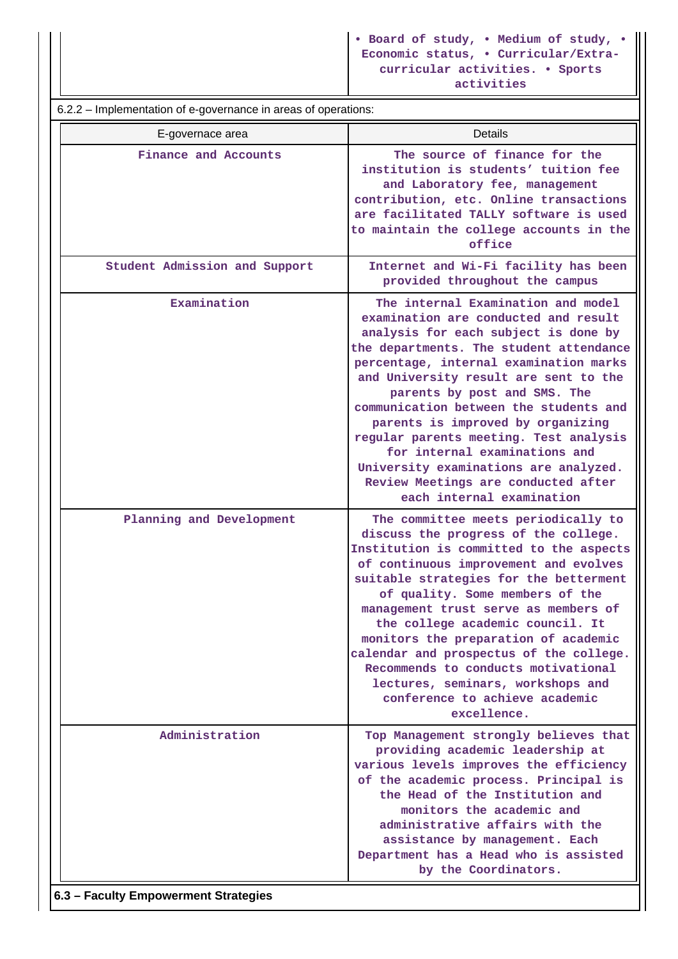| 6.2.2 – Implementation of e-governance in areas of operations: |                                                                                                                                                                                                                                                                                                                                                                                                                                                                                                                                                         |  |  |  |
|----------------------------------------------------------------|---------------------------------------------------------------------------------------------------------------------------------------------------------------------------------------------------------------------------------------------------------------------------------------------------------------------------------------------------------------------------------------------------------------------------------------------------------------------------------------------------------------------------------------------------------|--|--|--|
| E-governace area                                               | Details                                                                                                                                                                                                                                                                                                                                                                                                                                                                                                                                                 |  |  |  |
| Finance and Accounts                                           | The source of finance for the<br>institution is students' tuition fee<br>and Laboratory fee, management<br>contribution, etc. Online transactions<br>are facilitated TALLY software is used<br>to maintain the college accounts in the<br>office                                                                                                                                                                                                                                                                                                        |  |  |  |
| Student Admission and Support                                  | Internet and Wi-Fi facility has been<br>provided throughout the campus                                                                                                                                                                                                                                                                                                                                                                                                                                                                                  |  |  |  |
| Examination                                                    | The internal Examination and model<br>examination are conducted and result<br>analysis for each subject is done by<br>the departments. The student attendance<br>percentage, internal examination marks<br>and University result are sent to the<br>parents by post and SMS. The<br>communication between the students and<br>parents is improved by organizing<br>regular parents meeting. Test analysis<br>for internal examinations and<br>University examinations are analyzed.<br>Review Meetings are conducted after<br>each internal examination |  |  |  |
| Planning and Development                                       | The committee meets periodically to<br>discuss the progress of the college.<br>Institution is committed to the aspects<br>of continuous improvement and evolves<br>suitable strategies for the betterment<br>of quality. Some members of the<br>management trust serve as members of<br>the college academic council. It<br>monitors the preparation of academic<br>calendar and prospectus of the college.<br>Recommends to conducts motivational<br>lectures, seminars, workshops and<br>conference to achieve academic<br>excellence.                |  |  |  |
| Administration                                                 | Top Management strongly believes that<br>providing academic leadership at<br>various levels improves the efficiency<br>of the academic process. Principal is<br>the Head of the Institution and<br>monitors the academic and<br>administrative affairs with the<br>assistance by management. Each<br>Department has a Head who is assisted<br>by the Coordinators.                                                                                                                                                                                      |  |  |  |
| 6.3 - Faculty Empowerment Strategies                           |                                                                                                                                                                                                                                                                                                                                                                                                                                                                                                                                                         |  |  |  |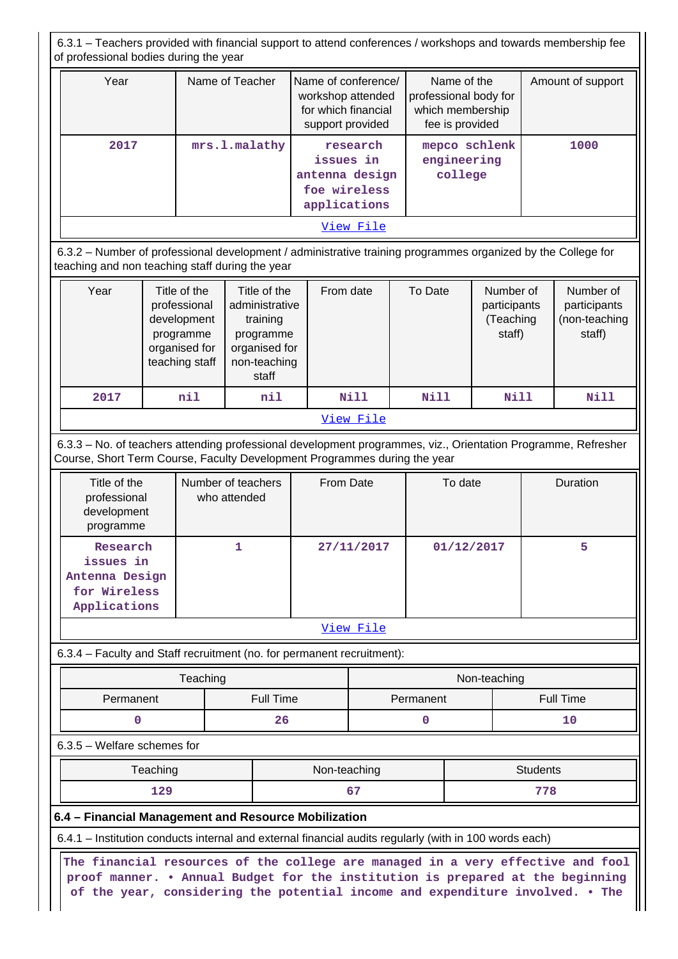6.3.1 – Teachers provided with financial support to attend conferences / workshops and towards membership fee of professional bodies during the year

| Year | Name of Teacher | Name of conference/<br>workshop attended<br>for which financial<br>support provided | Name of the<br>professional body for<br>which membership<br>fee is provided | Amount of support |
|------|-----------------|-------------------------------------------------------------------------------------|-----------------------------------------------------------------------------|-------------------|
| 2017 | mrs.l.malathy   | research<br>issues in<br>antenna design<br>foe wireless<br>applications             | mepco schlenk<br>engineering<br>college                                     | 1000              |
|      |                 | View File                                                                           |                                                                             |                   |

 6.3.2 – Number of professional development / administrative training programmes organized by the College for teaching and non teaching staff during the year

| Year | Title of the<br>professional<br>development<br>programme<br>organised for<br>teaching staff | Title of the<br>administrative<br>training<br>programme<br>organised for<br>non-teaching<br>staff | From date | To Date | Number of<br>participants<br>(Teaching<br>staff) | Number of<br>participants<br>(non-teaching<br>staff) |
|------|---------------------------------------------------------------------------------------------|---------------------------------------------------------------------------------------------------|-----------|---------|--------------------------------------------------|------------------------------------------------------|
| 2017 | nil                                                                                         | nil                                                                                               | Nill      | Nill    | Nill                                             | Nill                                                 |
|      | View File                                                                                   |                                                                                                   |           |         |                                                  |                                                      |

 6.3.3 – No. of teachers attending professional development programmes, viz., Orientation Programme, Refresher Course, Short Term Course, Faculty Development Programmes during the year

| Title of the<br>professional<br>development<br>programme                | Number of teachers<br>who attended | From Date  | To date    | <b>Duration</b> |
|-------------------------------------------------------------------------|------------------------------------|------------|------------|-----------------|
| Research<br>issues in<br>Antenna Design<br>for Wireless<br>Applications |                                    | 27/11/2017 | 01/12/2017 | 5               |
|                                                                         |                                    | View File  |            |                 |

6.3.4 – Faculty and Staff recruitment (no. for permanent recruitment):

| Teaching  |           | Non-teaching |           |
|-----------|-----------|--------------|-----------|
| Permanent | Full Time | Permanent    | Full Time |
|           | 26        |              | 10        |

## 6.3.5 – Welfare schemes for

| eaching    | Non-teaching   | <b>Students</b> |
|------------|----------------|-----------------|
| າາດ<br>ᅩᅀᄀ | $\mathbf{U}$ . | 770<br>c        |

### **6.4 – Financial Management and Resource Mobilization**

6.4.1 – Institution conducts internal and external financial audits regularly (with in 100 words each)

 **The financial resources of the college are managed in a very effective and fool proof manner. • Annual Budget for the institution is prepared at the beginning of the year, considering the potential income and expenditure involved. • The**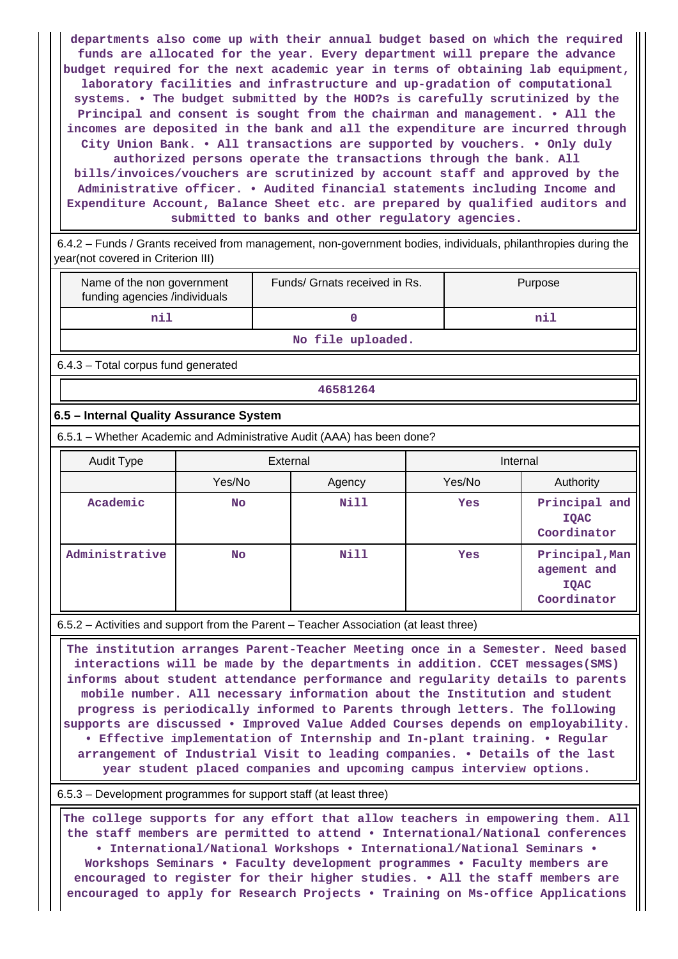**departments also come up with their annual budget based on which the required funds are allocated for the year. Every department will prepare the advance budget required for the next academic year in terms of obtaining lab equipment, laboratory facilities and infrastructure and up-gradation of computational systems. • The budget submitted by the HOD?s is carefully scrutinized by the Principal and consent is sought from the chairman and management. • All the incomes are deposited in the bank and all the expenditure are incurred through City Union Bank. • All transactions are supported by vouchers. • Only duly authorized persons operate the transactions through the bank. All bills/invoices/vouchers are scrutinized by account staff and approved by the Administrative officer. • Audited financial statements including Income and Expenditure Account, Balance Sheet etc. are prepared by qualified auditors and submitted to banks and other regulatory agencies.**

 6.4.2 – Funds / Grants received from management, non-government bodies, individuals, philanthropies during the year(not covered in Criterion III)

| Name of the non government<br>funding agencies /individuals | Funds/ Grnats received in Rs. | Purpose |  |  |
|-------------------------------------------------------------|-------------------------------|---------|--|--|
|                                                             |                               | nil     |  |  |
| __                                                          |                               |         |  |  |

**No file uploaded.**

6.4.3 – Total corpus fund generated

#### **46581264**

## **6.5 – Internal Quality Assurance System**

6.5.1 – Whether Academic and Administrative Audit (AAA) has been done?

| Audit Type     | External |             | Internal |                                                             |
|----------------|----------|-------------|----------|-------------------------------------------------------------|
|                | Yes/No   | Agency      | Yes/No   | Authority                                                   |
| Academic       | No.      | Nill        | Yes      | Principal and<br>IQAC<br>Coordinator                        |
| Administrative | No.      | <b>Nill</b> | Yes      | Principal, Man<br>agement and<br><b>IOAC</b><br>Coordinator |

6.5.2 – Activities and support from the Parent – Teacher Association (at least three)

 **The institution arranges Parent-Teacher Meeting once in a Semester. Need based interactions will be made by the departments in addition. CCET messages(SMS) informs about student attendance performance and regularity details to parents mobile number. All necessary information about the Institution and student progress is periodically informed to Parents through letters. The following supports are discussed • Improved Value Added Courses depends on employability. • Effective implementation of Internship and In-plant training. • Regular arrangement of Industrial Visit to leading companies. • Details of the last year student placed companies and upcoming campus interview options.**

6.5.3 – Development programmes for support staff (at least three)

 **The college supports for any effort that allow teachers in empowering them. All the staff members are permitted to attend • International/National conferences • International/National Workshops • International/National Seminars • Workshops Seminars • Faculty development programmes • Faculty members are encouraged to register for their higher studies. • All the staff members are encouraged to apply for Research Projects • Training on Ms-office Applications**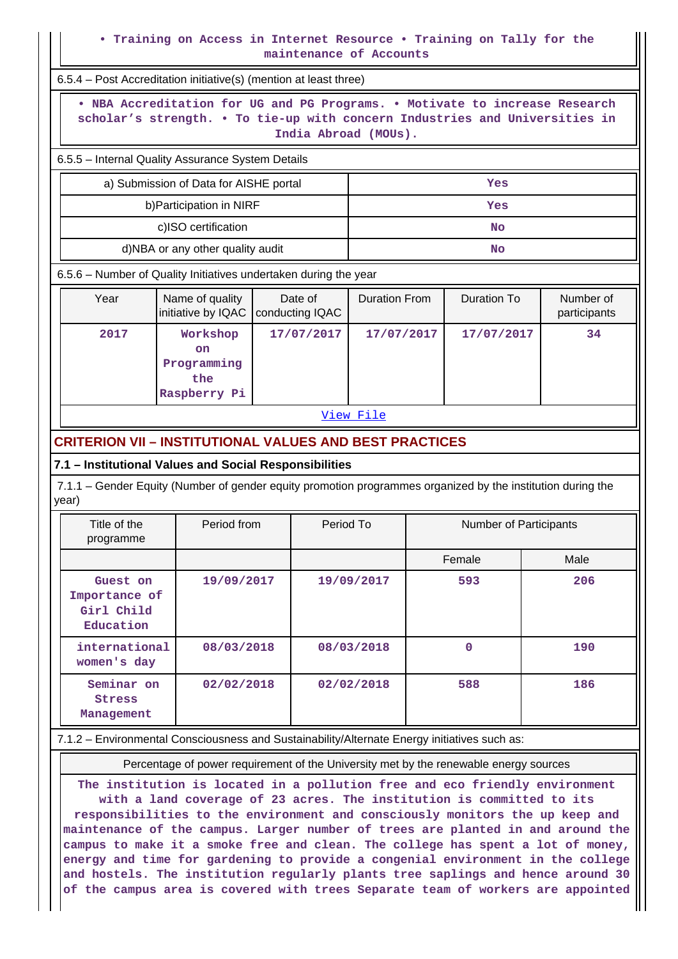### **• Training on Access in Internet Resource • Training on Tally for the maintenance of Accounts**

| 6.5.4 - Post Accreditation initiative(s) (mention at least three)                                                                                                                  |                                             |                            |                                            |  |                    |                           |
|------------------------------------------------------------------------------------------------------------------------------------------------------------------------------------|---------------------------------------------|----------------------------|--------------------------------------------|--|--------------------|---------------------------|
| . NBA Accreditation for UG and PG Programs. . Motivate to increase Research<br>scholar's strength. . To tie-up with concern Industries and Universities in<br>India Abroad (MOUs). |                                             |                            |                                            |  |                    |                           |
| 6.5.5 - Internal Quality Assurance System Details                                                                                                                                  |                                             |                            |                                            |  |                    |                           |
| a) Submission of Data for AISHE portal<br>Yes                                                                                                                                      |                                             |                            |                                            |  |                    |                           |
|                                                                                                                                                                                    | b) Participation in NIRF<br>Yes             |                            |                                            |  |                    |                           |
|                                                                                                                                                                                    | c)ISO certification                         |                            | <b>No</b>                                  |  |                    |                           |
|                                                                                                                                                                                    | d)NBA or any other quality audit            |                            |                                            |  | <b>No</b>          |                           |
| 6.5.6 - Number of Quality Initiatives undertaken during the year                                                                                                                   |                                             |                            |                                            |  |                    |                           |
| Year                                                                                                                                                                               | Name of quality<br>initiative by IQAC       | Date of<br>conducting IQAC | <b>Duration From</b>                       |  | <b>Duration To</b> | Number of<br>participants |
| 2017                                                                                                                                                                               | Workshop<br><b>on</b><br>Programming<br>the | 17/07/2017                 | 17/07/2017                                 |  | 17/07/2017         | 34                        |
|                                                                                                                                                                                    | Raspberry Pi                                |                            |                                            |  |                    |                           |
| View File                                                                                                                                                                          |                                             |                            |                                            |  |                    |                           |
| <b>CRITERION VII - INSTITUTIONAL VALUES AND BEST PRACTICES</b>                                                                                                                     |                                             |                            |                                            |  |                    |                           |
| 7.1 - Institutional Values and Social Responsibilities                                                                                                                             |                                             |                            |                                            |  |                    |                           |
| 7.1.1 – Gender Equity (Number of gender equity promotion programmes organized by the institution during the<br>year)                                                               |                                             |                            |                                            |  |                    |                           |
| Title of the<br>programme                                                                                                                                                          | Period from                                 |                            | Period To<br><b>Number of Participants</b> |  |                    |                           |
|                                                                                                                                                                                    |                                             |                            |                                            |  | Female             | Male                      |
| Guest on<br>Importance of<br>Girl Child<br>Education                                                                                                                               | 19/09/2017                                  |                            | 19/09/2017                                 |  | 593                | 206                       |
| international<br>women's day                                                                                                                                                       | 08/03/2018                                  |                            | 08/03/2018                                 |  | $\mathbf{0}$       | 190                       |
| Seminar on<br><b>Stress</b><br>Management                                                                                                                                          | 02/02/2018                                  |                            | 02/02/2018                                 |  | 588                | 186                       |
| 7.1.2 - Environmental Consciousness and Sustainability/Alternate Energy initiatives such as:                                                                                       |                                             |                            |                                            |  |                    |                           |

Percentage of power requirement of the University met by the renewable energy sources

**The institution is located in a pollution free and eco friendly environment with a land coverage of 23 acres. The institution is committed to its responsibilities to the environment and consciously monitors the up keep and maintenance of the campus. Larger number of trees are planted in and around the campus to make it a smoke free and clean. The college has spent a lot of money, energy and time for gardening to provide a congenial environment in the college and hostels. The institution regularly plants tree saplings and hence around 30 of the campus area is covered with trees Separate team of workers are appointed**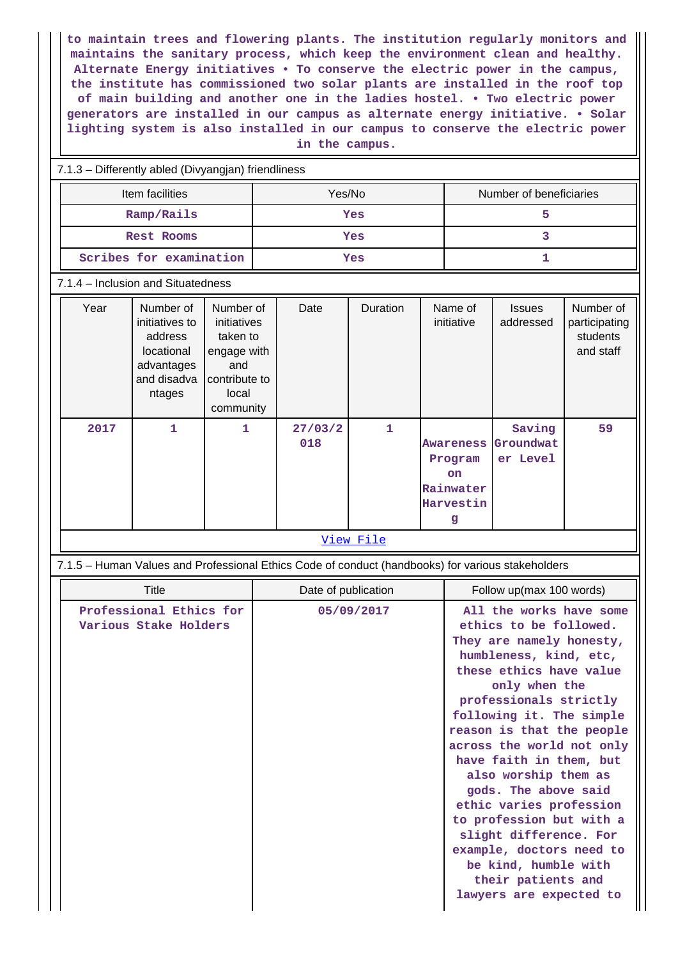**to maintain trees and flowering plants. The institution regularly monitors and maintains the sanitary process, which keep the environment clean and healthy. Alternate Energy initiatives • To conserve the electric power in the campus, the institute has commissioned two solar plants are installed in the roof top of main building and another one in the ladies hostel. • Two electric power generators are installed in our campus as alternate energy initiative. • Solar lighting system is also installed in our campus to conserve the electric power in the campus.**

#### 7.1.3 – Differently abled (Divyangjan) friendliness

| Item facilities         | Yes/No | Number of beneficiaries |
|-------------------------|--------|-------------------------|
| Ramp/Rails              | Yes    |                         |
| Rest Rooms              | Yes    |                         |
| Scribes for examination | Yes    |                         |

#### 7.1.4 – Inclusion and Situatedness

| 1<br>1<br>1<br>27/03/2<br>Saving<br>2017<br>018<br>Groundwat<br><b>Awareness</b>    | Number of<br>participating<br>students<br>and staff |
|-------------------------------------------------------------------------------------|-----------------------------------------------------|
| er Level<br>Program<br><b>on</b><br>Rainwater<br>Harvestin<br>g<br><u>View File</u> | 59                                                  |

## 7.1.5 – Human Values and Professional Ethics Code of conduct (handbooks) for various stakeholders

| Title                                            | Date of publication | Follow up(max 100 words)                                                                                                                                                                                                                                                                                                                                                                                                                                                                                                             |
|--------------------------------------------------|---------------------|--------------------------------------------------------------------------------------------------------------------------------------------------------------------------------------------------------------------------------------------------------------------------------------------------------------------------------------------------------------------------------------------------------------------------------------------------------------------------------------------------------------------------------------|
| Professional Ethics for<br>Various Stake Holders | 05/09/2017          | All the works have some<br>ethics to be followed.<br>They are namely honesty,<br>humbleness, kind, etc,<br>these ethics have value<br>only when the<br>professionals strictly<br>following it. The simple<br>reason is that the people<br>across the world not only<br>have faith in them, but<br>also worship them as<br>gods. The above said<br>ethic varies profession<br>to profession but with a<br>slight difference. For<br>example, doctors need to<br>be kind, humble with<br>their patients and<br>lawyers are expected to |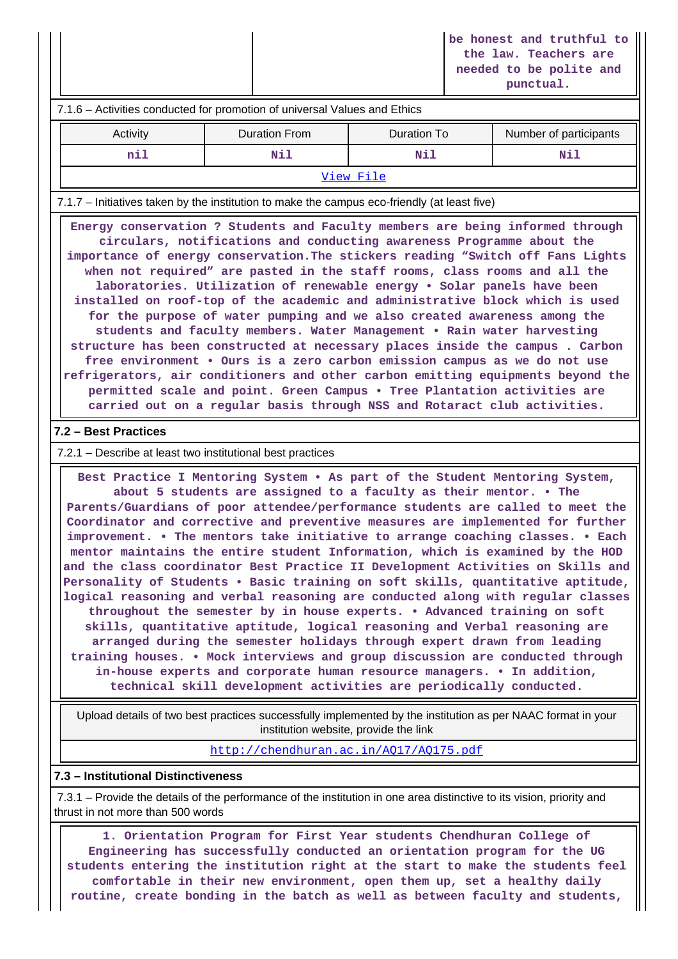**be honest and truthful to the law. Teachers are needed to be polite and punctual.**

# 7.1.6 – Activities conducted for promotion of universal Values and Ethics Activity **Duration From** Duration To Number of participants  **nil Nil Nil Nil** [View File](https://assessmentonline.naac.gov.in/public/Postacc/promotion_activities/17403_promotion_activities_1640973128.xlsx) 7.1.7 – Initiatives taken by the institution to make the campus eco-friendly (at least five) **Energy conservation ? Students and Faculty members are being informed through circulars, notifications and conducting awareness Programme about the importance of energy conservation.The stickers reading "Switch off Fans Lights when not required" are pasted in the staff rooms, class rooms and all the laboratories. Utilization of renewable energy • Solar panels have been installed on roof-top of the academic and administrative block which is used for the purpose of water pumping and we also created awareness among the students and faculty members. Water Management • Rain water harvesting structure has been constructed at necessary places inside the campus . Carbon free environment • Ours is a zero carbon emission campus as we do not use refrigerators, air conditioners and other carbon emitting equipments beyond the permitted scale and point. Green Campus • Tree Plantation activities are carried out on a regular basis through NSS and Rotaract club activities. 7.2 – Best Practices** 7.2.1 – Describe at least two institutional best practices **Best Practice I Mentoring System • As part of the Student Mentoring System, about 5 students are assigned to a faculty as their mentor. • The Parents/Guardians of poor attendee/performance students are called to meet the Coordinator and corrective and preventive measures are implemented for further improvement. • The mentors take initiative to arrange coaching classes. • Each mentor maintains the entire student Information, which is examined by the HOD and the class coordinator Best Practice II Development Activities on Skills and Personality of Students • Basic training on soft skills, quantitative aptitude, logical reasoning and verbal reasoning are conducted along with regular classes**

**throughout the semester by in house experts. • Advanced training on soft skills, quantitative aptitude, logical reasoning and Verbal reasoning are arranged during the semester holidays through expert drawn from leading training houses. • Mock interviews and group discussion are conducted through in-house experts and corporate human resource managers. • In addition, technical skill development activities are periodically conducted.**

 Upload details of two best practices successfully implemented by the institution as per NAAC format in your institution website, provide the link

<http://chendhuran.ac.in/AQ17/AQ175.pdf>

#### **7.3 – Institutional Distinctiveness**

 7.3.1 – Provide the details of the performance of the institution in one area distinctive to its vision, priority and thrust in not more than 500 words

 **1. Orientation Program for First Year students Chendhuran College of Engineering has successfully conducted an orientation program for the UG students entering the institution right at the start to make the students feel comfortable in their new environment, open them up, set a healthy daily routine, create bonding in the batch as well as between faculty and students,**